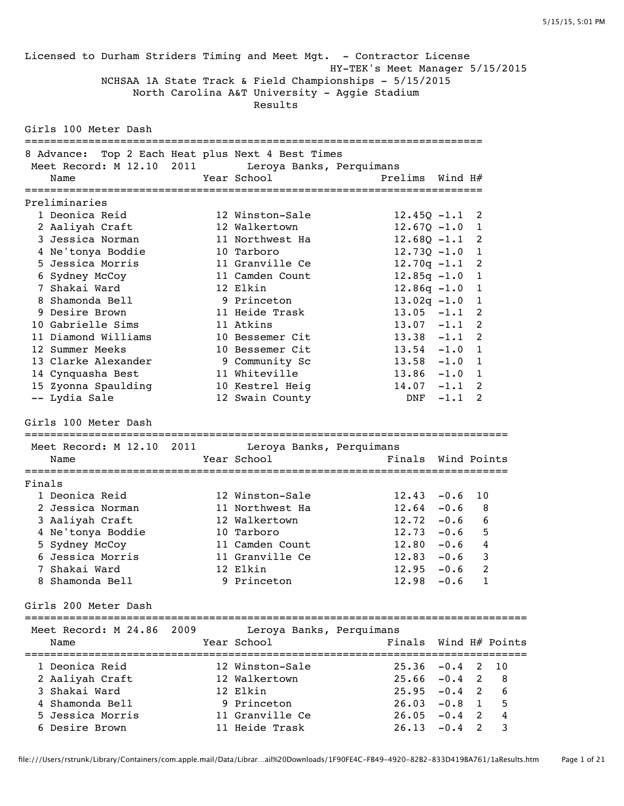Licensed to Durham Striders Timing and Meet Mgt. - Contractor License HY-TEK's Meet Manager 5/15/2015 NCHSAA 1A State Track & Field Championships - 5/15/2015 North Carolina A&T University - Aggie Stadium Results Girls 100 Meter Dash ======================================================================== 8 Advance: Top 2 Each Heat plus Next 4 Best Times Meet Record: M 12.10 2011 Leroya Banks, Perquimans Name  $Year School$  Prelims Wind H# ======================================================================== Preliminaries 1 Deonica Reid 12 Winston-Sale 12.45Q -1.1 2 2 Aaliyah Craft 12 Walkertown 12.67Q -1.0 1 3 Jessica Norman 11 Northwest Ha 12.68Q -1.1 2 4 Ne'tonya Boddie 10 Tarboro 12.73Q -1.0 1 5 Jessica Morris 11 Granville Ce 12.70q -1.1 2 6 Sydney McCoy 11 Camden Count 12.85q -1.0 1 7 Shakai Ward 12 Elkin 12.86q -1.0 1 8 Shamonda Bell 9 Princeton 13.02q -1.0 1 9 Desire Brown 11 Heide Trask 13.05 -1.1 2 10 Gabrielle Sims 11 Atkins 13.07 -1.1 2 11 Diamond Williams 10 Bessemer Cit 13.38 -1.1 2 12 Summer Meeks 10 Bessemer Cit 13.54 -1.0 1 13 Clarke Alexander 9 Community Sc 13.58 -1.0 1 14 Cynquasha Best 11 Whiteville 13.86 -1.0 1 15 Zyonna Spaulding 10 Kestrel Heig 14.07 -1.1 2 -- Lydia Sale 12 Swain County DNF -1.1 2 Girls 100 Meter Dash ============================================================================ Meet Record: M 12.10 2011 Leroya Banks, Perquimans Name Tear School The Pinals Wind Points ============================================================================ Finals 1 Deonica Reid 12 Winston-Sale 12.43 -0.6 10 2 Jessica Norman 11 Northwest Ha 12.64 -0.6 8 3 Aaliyah Craft 12 Walkertown 12.72 -0.6 6 4 Ne'tonya Boddie 10 Tarboro 12.73 -0.6 5 5 Sydney McCoy 11 Camden Count 12.80 -0.6 4 6 Jessica Morris 11 Granville Ce 12.83 -0.6 3 7 Shakai Ward 12 Elkin 12.95 -0.6 2 8 Shamonda Bell 9 Princeton 12.98 -0.6 1 Girls 200 Meter Dash =============================================================================== Meet Record: M 24.86 2009 Leroya Banks, Perquimans Name Year School Finals Wind H# Points =============================================================================== 1 Deonica Reid 12 Winston-Sale 25.36 -0.4 2 10 2 Aaliyah Craft 12 Walkertown 25.66 -0.4 2 8 3 Shakai Ward 12 Elkin 25.95 -0.4 2 6 4 Shamonda Bell 9 Princeton 26.03 -0.8 1 5 5 Jessica Morris 11 Granville Ce 26.05 -0.4 2 4 6 Desire Brown 11 Heide Trask 26.13 -0.4 2 3

file:///Users/rstrunk/Library/Containers/com.apple.mail/Data/Librar…ail%20Downloads/1F90FE4C-FB49-4920-82B2-833D419BA761/1aResults.htm Page 1 of 21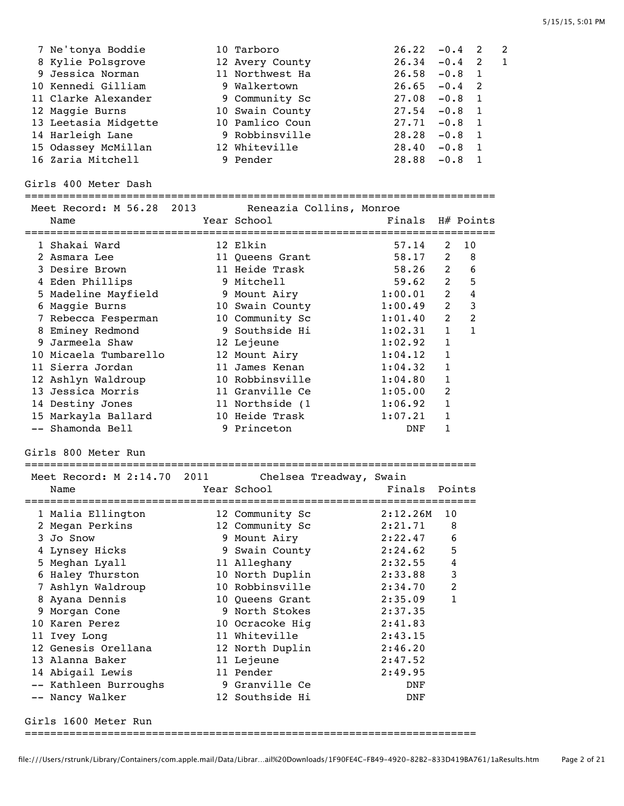| 7 Ne'tonya Boddie    | 10 Tarboro      | $26.22 - 0.4$ 2                             |
|----------------------|-----------------|---------------------------------------------|
| 8 Kylie Polsgrove    | 12 Avery County | $26.34 - 0.4$<br>$\overline{\phantom{0}}^2$ |
| 9 Jessica Norman     | 11 Northwest Ha | $26.58 - 0.8$<br>$\blacksquare$             |
| 10 Kennedi Gilliam   | 9 Walkertown    | $26.65 - 0.4$ 2                             |
| 11 Clarke Alexander  | 9 Community Sc  | $27.08 - 0.8$<br>$\overline{\phantom{0}}$   |
| 12 Maggie Burns      | 10 Swain County | $27.54 - 0.8$<br>$\blacksquare$             |
| 13 Leetasia Midgette | 10 Pamlico Coun | 27.71<br>$-0.8$<br>$\overline{\phantom{0}}$ |
| 14 Harleigh Lane     | 9 Robbinsville  | 28.28<br>$-0.8$<br>$\blacksquare$           |
| 15 Odassey McMillan  | 12 Whiteville   | 28.40<br>$-0.8$<br>$\blacksquare$           |
| 16 Zaria Mitchell    | 9 Pender        | 28.88<br>$-0.8$                             |

Girls 400 Meter Dash

| Name                  |  | Meet Record: M 56.28 2013 Reneazia Collins, Monroe<br>Year School | Finals  |                | H# Points      |
|-----------------------|--|-------------------------------------------------------------------|---------|----------------|----------------|
| 1 Shakai Ward         |  | 12 Elkin                                                          | 57.14   | 2              | 10             |
| 2 Asmara Lee          |  | 11 Queens Grant                                                   | 58.17   | 2              | 8              |
| 3 Desire Brown        |  | 11 Heide Trask                                                    | 58.26   | 2              | 6              |
| 4 Eden Phillips       |  | 9 Mitchell                                                        | 59.62   | 2              | 5              |
| 5 Madeline Mayfield   |  | 9 Mount Airy                                                      | 1:00.01 | $\overline{2}$ | 4              |
| 6 Maggie Burns        |  | 10 Swain County                                                   | 1:00.49 | 2              | 3              |
| 7 Rebecca Fesperman   |  | 10 Community Sc                                                   | 1:01.40 | 2              | $\overline{2}$ |
| 8 Eminey Redmond      |  | 9 Southside Hi                                                    | 1:02.31 | $\mathbf{1}$   |                |
| 9 Jarmeela Shaw       |  | 12 Lejeune                                                        | 1:02.92 | $\mathbf{1}$   |                |
| 10 Micaela Tumbarello |  | 12 Mount Airy                                                     | 1:04.12 | $\mathbf{1}$   |                |
| 11 Sierra Jordan      |  | 11 James Kenan                                                    | 1:04.32 | 1              |                |
| 12 Ashlyn Waldroup    |  | 10 Robbinsville                                                   | 1:04.80 | 1              |                |
| 13 Jessica Morris     |  | 11 Granville Ce                                                   | 1:05.00 | $\mathcal{L}$  |                |
| 14 Destiny Jones      |  | 11 Northside (1                                                   | 1:06.92 | 1              |                |
| 15 Markayla Ballard   |  | 10 Heide Trask                                                    | 1:07.21 | 1              |                |
| -- Shamonda Bell      |  | 9 Princeton                                                       | DNF     |                |                |

Girls 800 Meter Run

=======================================================================

| Meet Record: M 2:14.70 2011<br>Name | Chelsea Treadway, Swain<br>Year School | Finals   | Points         |
|-------------------------------------|----------------------------------------|----------|----------------|
| 1 Malia Ellington                   | 12 Community Sc                        | 2:12.26M | 10             |
| 2 Megan Perkins                     | 12 Community Sc                        | 2:21.71  | 8              |
| 3 Jo Snow                           | 9 Mount Airy                           | 2:22.47  | 6              |
| 4 Lynsey Hicks                      | 9 Swain County                         | 2:24.62  | 5              |
| 5 Meghan Lyall                      | 11 Alleghany                           | 2:32.55  | $\overline{4}$ |
| 6 Haley Thurston                    | 10 North Duplin                        | 2:33.88  | 3              |
| 7 Ashlyn Waldroup                   | 10 Robbinsville                        | 2:34.70  | $\overline{2}$ |
| 8 Ayana Dennis                      | 10 Queens Grant                        | 2:35.09  | $\mathbf{1}$   |
| 9 Morgan Cone                       | 9 North Stokes                         | 2:37.35  |                |
| 10 Karen Perez                      | 10 Ocracoke Hig                        | 2:41.83  |                |
| 11 Ivey Long                        | 11 Whiteville                          | 2:43.15  |                |
| 12 Genesis Orellana                 | 12 North Duplin                        | 2:46.20  |                |
| 13 Alanna Baker                     | 11 Lejeune                             | 2:47.52  |                |
| 14 Abigail Lewis                    | 11 Pender                              | 2:49.95  |                |
| -- Kathleen Burroughs               | 9 Granville Ce                         | DNF      |                |
| -- Nancy Walker                     | 12 Southside Hi                        | DNF      |                |
| Girls 1600 Meter Run                |                                        |          |                |

=======================================================================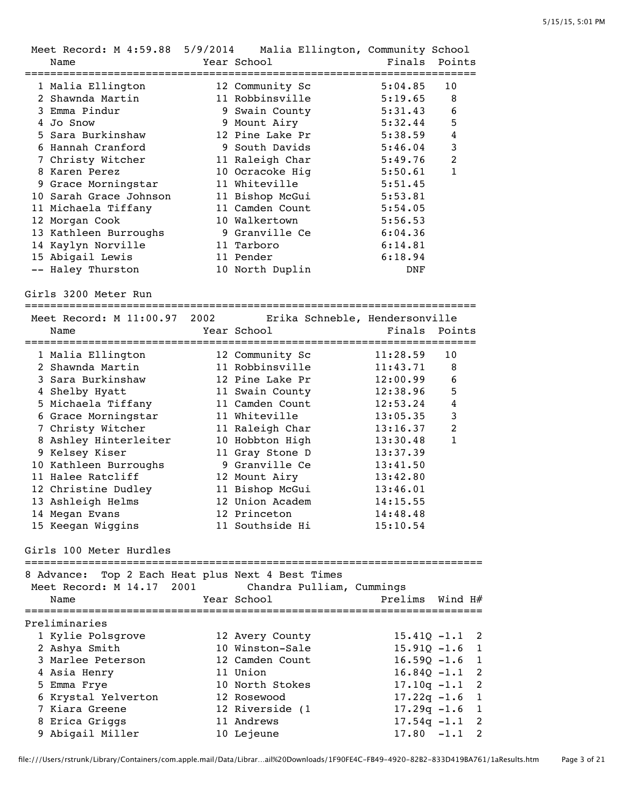| Meet Record: M 4:59.88 5/9/2014 Malia Ellington, Community School<br>Name | Year School                                   | Finals<br>================== | Points         |
|---------------------------------------------------------------------------|-----------------------------------------------|------------------------------|----------------|
| 1 Malia Ellington                                                         | 12 Community Sc                               | 5:04.85                      | 10             |
| 2 Shawnda Martin                                                          | 11 Robbinsville                               | 5:19.65                      | 8              |
| 3 Emma Pindur                                                             | 9 Swain County                                | 5:31.43                      | 6              |
| 4 Jo Snow                                                                 | 9 Mount Airy                                  | 5:32.44                      | 5              |
| 5 Sara Burkinshaw                                                         | 12 Pine Lake Pr                               | 5:38.59                      | 4              |
| 6 Hannah Cranford                                                         | 9 South Davids                                | 5:46.04                      | 3              |
| 7 Christy Witcher                                                         | 11 Raleigh Char                               | 5:49.76                      | $\overline{2}$ |
| 8 Karen Perez                                                             | 10 Ocracoke Hig                               | 5:50.61                      | 1              |
| 9 Grace Morningstar                                                       | 11 Whiteville                                 | 5:51.45                      |                |
| 10 Sarah Grace Johnson                                                    | 11 Bishop McGui                               | 5:53.81                      |                |
| 11 Michaela Tiffany                                                       | 11 Camden Count                               | 5:54.05                      |                |
| 12 Morgan Cook                                                            | 10 Walkertown                                 | 5:56.53                      |                |
| 13 Kathleen Burroughs                                                     | 9 Granville Ce                                | 6:04.36                      |                |
| 14 Kaylyn Norville                                                        | 11 Tarboro                                    | 6:14.81                      |                |
| 15 Abigail Lewis                                                          | 11 Pender                                     | 6:18.94                      |                |
| -- Haley Thurston                                                         | 10 North Duplin                               | DNF                          |                |
|                                                                           |                                               |                              |                |
| Meet Record: M 11:00.97 2002<br>Name                                      | Erika Schneble, Hendersonville<br>Year School | Finals                       | Points         |
|                                                                           |                                               |                              | 10             |
| 1 Malia Ellington<br>2 Shawnda Martin                                     | 12 Community Sc                               | 11:28.59                     | 8              |
| 3 Sara Burkinshaw                                                         | 11 Robbinsville                               | 11:43.71                     | 6              |
|                                                                           | 12 Pine Lake Pr                               | 12:00.99                     | 5              |
| 4 Shelby Hyatt                                                            | 11 Swain County<br>11 Camden Count            | 12:38.96                     | 4              |
| 5 Michaela Tiffany                                                        | 11 Whiteville                                 | 12:53.24<br>13:05.35         | 3              |
| 6 Grace Morningstar<br>7 Christy Witcher                                  | 11 Raleigh Char                               | 13:16.37                     | $\overline{2}$ |
| 8 Ashley Hinterleiter                                                     | 10 Hobbton High                               | 13:30.48                     | $\mathbf{1}$   |
| 9 Kelsey Kiser                                                            | 11 Gray Stone D                               | 13:37.39                     |                |
| 10 Kathleen Burroughs                                                     | 9 Granville Ce                                | 13:41.50                     |                |
| 11 Halee Ratcliff                                                         | 12 Mount Airy                                 | 13:42.80                     |                |
| 12 Christine Dudley                                                       | 11 Bishop McGui                               | 13:46.01                     |                |
| 13 Ashleigh Helms                                                         | 12 Union Academ                               | 14:15.55                     |                |
| 14 Megan Evans                                                            | 12 Princeton                                  | 14:48.48                     |                |
| 15 Keegan Wiggins                                                         | 11 Southside Hi                               | 15:10.54                     |                |
| Girls 100 Meter Hurdles<br>8 Advance:                                     | Top 2 Each Heat plus Next 4 Best Times        |                              |                |

| o Advance: Top Z Each Heat plus Next 4 Best Times<br>Meet Record: M 14.17 2001 Chandra Pulliam, Cummings<br>Name | Year School     | Prelims Wind H#  |                |
|------------------------------------------------------------------------------------------------------------------|-----------------|------------------|----------------|
| Preliminaries                                                                                                    |                 |                  |                |
| 1 Kylie Polsgrove                                                                                                | 12 Avery County | $15.410 - 1.1$ 2 |                |
| 2 Ashya Smith                                                                                                    | 10 Winston-Sale | $15.910 - 1.6$ 1 |                |
| 3 Marlee Peterson                                                                                                | 12 Camden Count | $16.590 - 1.6$ 1 |                |
| 4 Asia Henry                                                                                                     | 11 Union        | $16.840 - 1.1$ 2 |                |
| 5 Emma Frye                                                                                                      | 10 North Stokes | $17.10q - 1.1$ 2 |                |
| 6 Krystal Yelverton                                                                                              | 12 Rosewood     | $17.22q - 1.6$ 1 |                |
| 7 Kiara Greene                                                                                                   | 12 Riverside (1 | $17.29q - 1.6$ 1 |                |
| 8 Erica Griggs                                                                                                   | 11 Andrews      | $17.54q - 1.1$ 2 |                |
| 9 Abigail Miller                                                                                                 | 10 Lejeune      | $17.80 - 1.1$    | $\overline{2}$ |

file:///Users/rstrunk/Library/Containers/com.apple.mail/Data/Librar…ail%20Downloads/1F90FE4C-FB49-4920-82B2-833D419BA761/1aResults.htm Page 3 of 21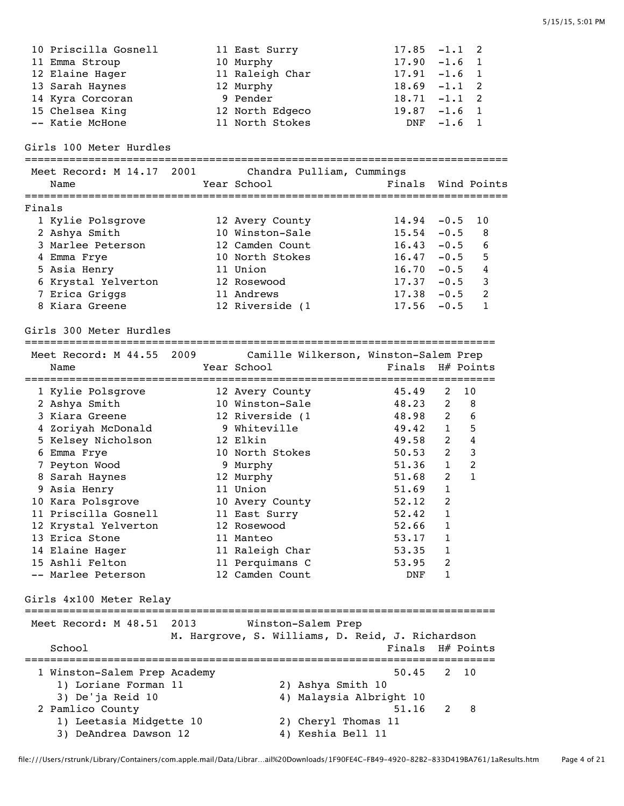10 Priscilla Gosnell 11 East Surry 17.85 -1.1 2 11 Emma Stroup 10 Murphy 17.90 -1.6 1 12 Elaine Hager 11 Raleigh Char 17.91 -1.6 1 13 Sarah Haynes 12 Murphy 18.69 -1.1 2 14 Kyra Corcoran 18.71 -1.1 2 15 Chelsea King 12 North Edgeco 19.87 -1.6 1 -- Katie McHone 11 North Stokes DNF -1.6 1 Girls 100 Meter Hurdles ============================================================================ Meet Record: M 14.17 2001 Chandra Pulliam, Cummings Name Tear School Tear School Finals Wind Points ============================================================================ Finals 1 Kylie Polsgrove 12 Avery County 14.94 -0.5 10 2 Ashya Smith 10 Winston-Sale 15.54 -0.5 8 3 Marlee Peterson 12 Camden Count 16.43 -0.5 6 4 Emma Frye 10 North Stokes 16.47 -0.5 5 5 Asia Henry 11 Union 16.70 -0.5 4 6 Krystal Yelverton 12 Rosewood 17.37 -0.5 3 7 Erica Griggs 11 Andrews 17.38 -0.5 2 8 Kiara Greene 12 Riverside (1 17.56 -0.5 1 Girls 300 Meter Hurdles ========================================================================== Meet Record: M 44.55 2009 Camille Wilkerson, Winston-Salem Prep Name Year School Finals H# Points ========================================================================== 1 Kylie Polsgrove 12 Avery County 45.49 2 10 2 Ashya Smith 10 Winston-Sale 48.23 2 8 3 Kiara Greene 12 Riverside (1 48.98 2 6 4 Zoriyah McDonald 9 Whiteville 49.42 1 5 5 Kelsey Nicholson 12 Elkin 49.58 2 4 6 Emma Frye 10 North Stokes 50.53 2 3 7 Peyton Wood 9 Murphy 51.36 1 2 8 Sarah Haynes 12 Murphy 51.68 2 1 9 Asia Henry 11 Union 51.69 1 10 Kara Polsgrove **10 Avery County** 52.12 2 11 Priscilla Gosnell 11 East Surry 52.42 1 12 Krystal Yelverton 12 Rosewood 52.66 1 13 Erica Stone 11 Manteo 53.17 1 14 Elaine Hager 11 Raleigh Char 53.35 1 15 Ashli Felton 11 Perquimans C 53.95 2 -- Marlee Peterson 12 Camden Count DNF 1 Girls 4x100 Meter Relay ========================================================================== Meet Record: M 48.51 2013 Winston-Salem Prep M. Hargrove, S. Williams, D. Reid, J. Richardson School **Finals H**# Points ========================================================================== 1 Winston-Salem Prep Academy 50.45 2 10 1) Loriane Forman 11 2) Ashya Smith 10 3) De'ja Reid 10 4) Malaysia Albright 10 <sup>2</sup><br>
2 Pamlico County<br>
2 Pamlico County<br>
<sup>2</sup> B 1) Leetasia Midgette 10 2) Cheryl Thomas 11 3) DeAndrea Dawson 12 4) Keshia Bell 11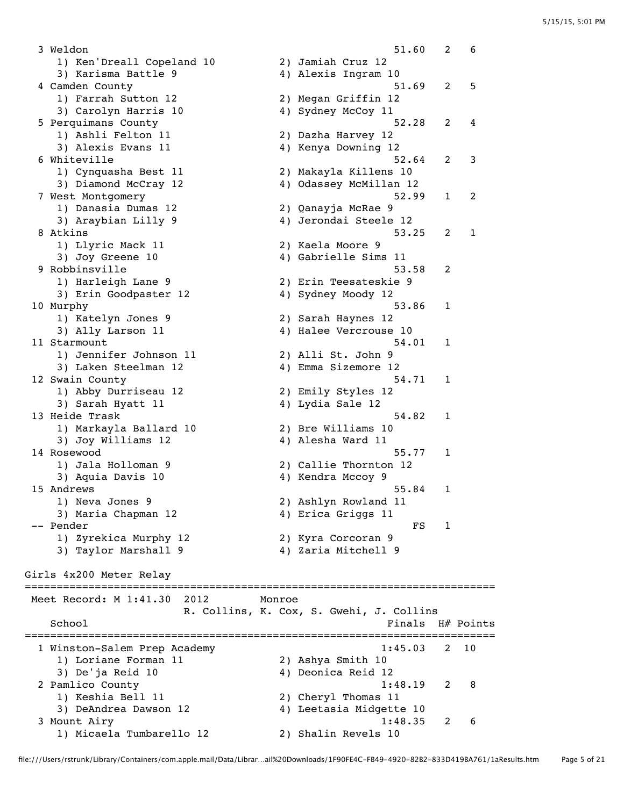3 Weldon 51.60 2 6 1) Ken'Dreall Copeland 10 2) Jamiah Cruz 12 3) Karisma Battle 9 1922 - 4 4 Alexis Ingram 10 4 Camden County 51.69 2 5 1) Farrah Sutton 12 2) Megan Griffin 12 3) Carolyn Harris 10 4) Sydney McCoy 11 5 Perquimans County<br>
1) Ashli Felton 11 (2) Dazha Harvey 12 2) Dazha Harvey 12 3) Alexis Evans 11 4) Kenya Downing 12 6 Whiteville 52.64 2 3<br>1) Cynquasha Best 11 2) Makayla Killens 10 1) Cynquasha Best 11 2) Makayla Killens 10 3) Diamond McCray 12 4) Odassey McMillan 12 7 West Montgomery 52.99 1 2 1) Danasia Dumas 12 2) Qanayja McRae 9 3) Araybian Lilly 9 4) Jerondai Steele 12 8 Atkins 53.25 2 1 1) Llyric Mack 11 2) Kaela Moore 9 3) Joy Greene 10 4) Gabrielle Sims 11 9 Robbinsville 53.58 2 1) Harleigh Lane 9 2) Erin Teesateskie 9 3) Erin Goodpaster 12 4) Sydney Moody 12 10 Murphy 53.86 1 1) Katelyn Jones 9 2) Sarah Haynes 12 3) Ally Larson 11 4) Halee Vercrouse 10 11 Starmount 54.01 1 1) Jennifer Johnson 11 2) Alli St. John 9 1) Jennifer Johnson 11 (2) Alli St. John 9<br>3) Laken Steelman 12 (4) Emma Sizemore 12 12 Swain County 54.71 1 1) Abby Durriseau 12 2) Emily Styles 12 3) Sarah Hyatt 11 <a>>4) Lydia Sale 12 13 Heide Trask 54.82 and the set of the set of the set of the set of the set of the set of the set of the set o 1) Markayla Ballard 10 2) Bre Williams 10 3) Joy Williams 12 4) Alesha Ward 11 14 Rosewood 55.77 1 1) Jala Holloman 9 2) Callie Thornton 12 3) Aquia Davis 10 4) Kendra Mccoy 9 15 Andrews 55.84 1 1) Neva Jones 9 2) Ashlyn Rowland 11 3) Maria Chapman 12 4) Erica Griggs 11 -- Pender FS 1 1) Zyrekica Murphy 12 2) Kyra Corcoran 9 3) Taylor Marshall 9 4) Zaria Mitchell 9 Girls 4x200 Meter Relay ========================================================================== Meet Record: M 1:41.30 2012 Monroe R. Collins, K. Cox, S. Gwehi, J. Collins School **Finals** H# Points ========================================================================== 1 Winston-Salem Prep Academy 1:45.03 2 10 1) Loriane Forman 11 2) Ashya Smith 10 3) De'ja Reid 10 4) Deonica Reid 12 2 Pamlico County 1:48.19 2 8 1) Keshia Bell 11 2) Cheryl Thomas 11 3) DeAndrea Dawson 12 4) Leetasia Midgette 10 3 Mount Airy 1:48.35 2 6 1) Micaela Tumbarello 12 2) Shalin Revels 10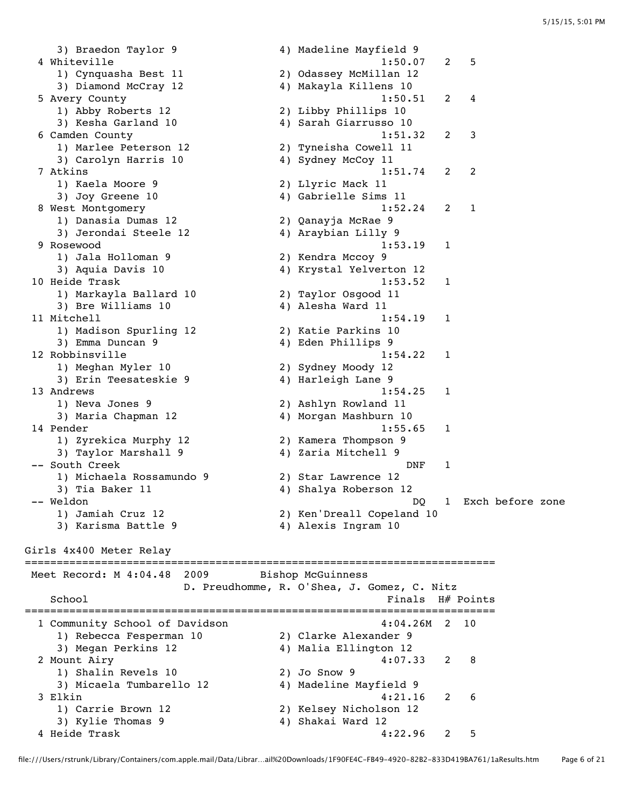3) Braedon Taylor 9 4) Madeline Mayfield 9 4 Whiteville 1:50.07 2 5<br>1) Cynquasha Best 11 2 2) Odassey McMillan 12 1) Cynquasha Best 11 2) Odassey McMillan 12 3) Diamond McCray 12 4) Makayla Killens 10 5 Avery County 1:50.51 2 4 1) Abby Roberts 12 2) Libby Phillips 10 3) Kesha Garland 10 4) Sarah Giarrusso 10 6 Camden County 1:51.32 2 3 1) Marlee Peterson 12 2) Tyneisha Cowell 11 3) Carolyn Harris 10 4) Sydney McCoy 11 7 Atkins 1:51.74 2 2 1) Kaela Moore 9 2) Llyric Mack 11 3) Joy Greene 10 4) Gabrielle Sims 11<br>1:52.24 2: 1:52.24 2 8 West Montgomery 1:52.24 2 1 1) Danasia Dumas 12 2) Qanayja McRae 9 3) Jerondai Steele 12 4) Araybian Lilly 9 9 Rosewood 1:53.19 1 1) Jala Holloman 9 2) Kendra Mccoy 9 3) Aquia Davis 10 4) Krystal Yelverton 12 10 Heide Trask 1:53.52 1 1) Markayla Ballard 10 2) Taylor Osgood 11 3) Bre Williams 10 4) Alesha Ward 11 11 Mitchell 1:54.19 1 1) Madison Spurling 12 2) Katie Parkins 10 3) Emma Duncan 9 19 10 10 10 10 10 10 10 11 12 13 14 14 15 16 17 17 18 19 19 19 1 12 Robbinsville 1:54.22 1 1) Meghan Myler 10 2) Sydney Moody 12 3) Erin Teesateskie 9 4) Harleigh Lane 9 13 Andrews 1:54.25 1<br>1) Neva Jones 9 2) Ashlyn Rowland 11 1) Neva Jones 9 2) Ashlyn Rowland 11 3) Maria Chapman 12 4) Morgan Mashburn 10 14 Pender 1:55.65 1<br>
1) Zyrekica Murphy 12 2) Kamera Thompson 9 1) Zyrekica Murphy 12 2) Kamera Thompson 9 3) Taylor Marshall 9 4) Zaria Mitchell 9 -- South Creek and the set of the set of the set of the set of the set of the set of the set of the set of the set of the set of the set of the set of the set of the set of the set of the set of the set of the set of the s 1) Michaela Rossamundo 9 2) Star Lawrence 12 3) Tia Baker 11 4) Shalya Roberson 12 -- Weldon DQ 1 Exch before zone 2) Ken'Dreall Copeland 10<br>4) Alexis Ingram 10 1) Jamiah Cruz 12<br>3) Karisma Battle 9 Girls 4x400 Meter Relay ========================================================================== Meet Record: M 4:04.48 2009 Bishop McGuinness D. Preudhomme, R. O'Shea, J. Gomez, C. Nitz School **Finals** H# Points ========================================================================== 1 Community School of Davidson 1 2 2 2 2 2 2 2 2 2 2 2 10 1) Rebecca Fesperman 10 2) Clarke Alexander 9 3) Megan Perkins 12 4) Malia Ellington 12 2 Mount Airy 4:07.33 2 8 1) Shalin Revels 10 2) Jo Snow 9 3) Micaela Tumbarello 12 4) Madeline Mayfield 9 3 Elkin 4:21.16 2 6 1) Carrie Brown 12 2) Kelsey Nicholson 12 3) Kylie Thomas 9 4) Shakai Ward 12 4 Heide Trask 4:22.96 2 5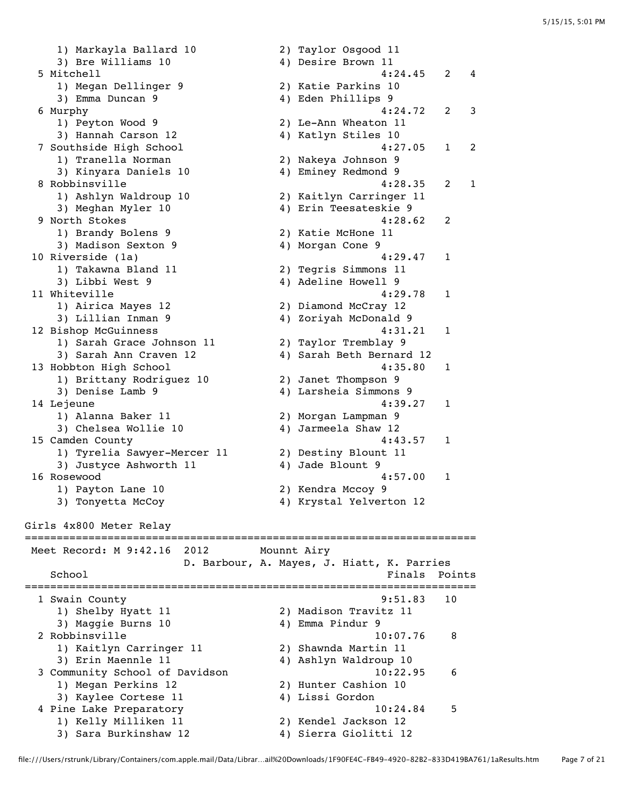1) Markayla Ballard 10 2) Taylor Osgood 11 3) Bre Williams 10 4) Desire Brown 11 5 Mitchell (1998)<br>
19 Megan Dellinger 9 (1998)<br>
29 Katie Parkins 10<br>
39 Emma Duncan 9 (1998)<br>
49 Eden Phillips 9 1) Megan Dellinger 9 2) Katie Parkins 10 3) Emma Duncan 9 19 10 10 10 10 10 10 10 11 12 13 14 14 15 16 17 17 18 19 19 19 1 6 Murphy 4:24.72 2 3 1) Peyton Wood 9 2) Le-Ann Wheaton 11 3) Hannah Carson 12 1 4) Katlyn Stiles 10 3) Hannah Carson 12 (1993) Hannah Carson 12 (1994) Katlyn Stiles 10<br>1 Tranella Norman (2) Nakeya Johnson 9 1) Tranella Norman 2) Nakeya Johnson 9 3) Kinyara Daniels 10 4) Eminey Redmond 9 8 Robbinsville 4:28.35 2 1 1) Ashlyn Waldroup 10 2) Kaitlyn Carringer 11 3) Meghan Myler 10 4) Erin Teesateskie 9 9 North Stokes 4:28.62 2 1) Brandy Bolens 9 1) Brandy Bolens 9 (2) Xatie McHone 11<br>3) Madison Sexton 9 (4) Morgan Cone 9 10 Riverside (1a) 4:29.47 1 1) Takawna Bland 11 2) Tegris Simmons 11 3) Libbi West 9 19 10 10 2010 4) Adeline Howell 9 11 Whiteville 2012 11 Whiteville 1) Airica Mayes 12 2) Diamond McCray 12 3) Lillian Inman 9 4) Zoriyah McDonald 9 12 Bishop McGuinness 4:31.21 1 1) Sarah Grace Johnson 11 2) Taylor Tremblay 9 3) Sarah Ann Craven 12 4) Sarah Beth Bernard 12 13 Hobbton High School 4:35.80 1 1) Brittany Rodriguez 10 2) Janet Thompson 9 3) Denise Lamb 9 4) Larsheia Simmons 9 14 Lejeune 4:39.27 1 1) Alanna Baker 11 2) Morgan Lampman 9 3) Chelsea Wollie 10 4) Jarmeela Shaw 12 15 Camden County 4:43.57 1 1) Tyrelia Sawyer-Mercer 11 2) Destiny Blount 11 3) Justyce Ashworth 11 4) Jade Blount 9 16 Rosewood 4:57.00 1 1) Payton Lane 10 2) Kendra Mccoy 9 3) Tonyetta McCoy 4) Krystal Yelverton 12 Girls 4x800 Meter Relay ======================================================================= Meet Record: M 9:42.16 2012 Mounnt Airy D. Barbour, A. Mayes, J. Hiatt, K. Parries School **Finals** Points ======================================================================= 1 Swain County 9:51.83 10 1) Shelby Hyatt 11 2) Madison Travitz 11 3) Maggie Burns 10 4) Emma Pindur 9 2 Robbinsville 10:07.76 8 1) Kaitlyn Carringer 11 2) Shawnda Martin 11 3) Erin Maennle 11 4) Ashlyn Waldroup 10 3 Community School of Davidson 10:22.95 6 1) Megan Perkins 12 2) Hunter Cashion 10 3) Kaylee Cortese 11 <a>> 4) Lissi Gordon 4 Pine Lake Preparatory 10:24.84 5 1) Kelly Milliken 11 2) Kendel Jackson 12 3) Sara Burkinshaw 12 4) Sierra Giolitti 12

file:///Users/rstrunk/Library/Containers/com.apple.mail/Data/Librar…ail%20Downloads/1F90FE4C-FB49-4920-82B2-833D419BA761/1aResults.htm Page 7 of 21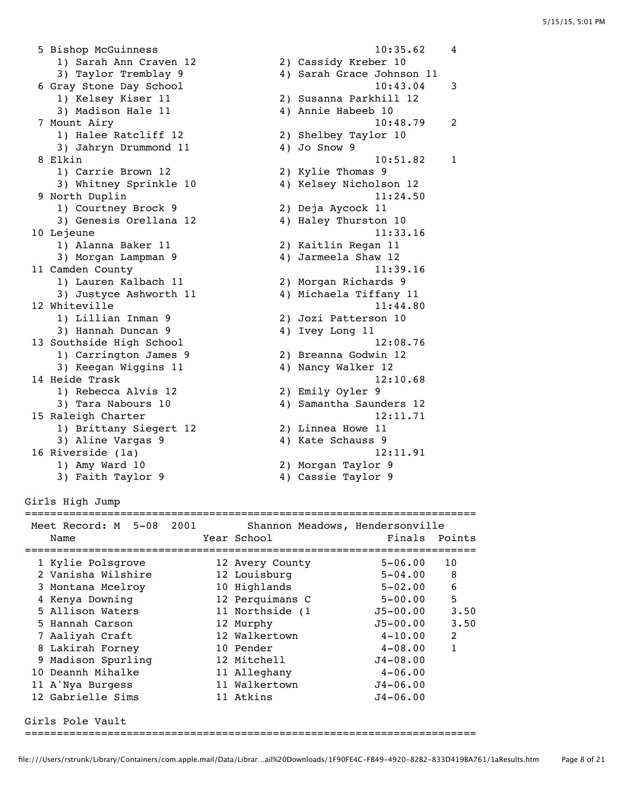5 Bishop McGuinness 10:35.62 4 1) Sarah Ann Craven 12 2) Cassidy Kreber 10 3) Taylor Tremblay 9 4) Sarah Grace Johnson 11 6 Gray Stone Day School 10:43.04 3 1) Kelsey Kiser 11 2) Susanna Parkhill 12 3) Madison Hale 11 (4) Annie Habeeb 10 7 Mount Airy 10:48.79 2 1) Halee Ratcliff 12 2) Shelbey Taylor 10 3) Jahryn Drummond 11 4) Jo Snow 9 8 Elkin 10:51.82 1 1) Carrie Brown 12 2) Kylie Thomas 9 3) Whitney Sprinkle 10 9 North Duplin 11:24.50 1) Courtney Brock 9 2) Deja Aycock 11 3) Genesis Orellana 12 4) Haley Thurston 10 10 Lejeune 11:33.16 1) Alanna Baker 11 2) Kaitlin Regan 11 3) Morgan Lampman 9 4) Jarmeela Shaw 12 11 Camden County 11:39.16 1) Lauren Kalbach 11 2) Morgan Richards 9 3) Justyce Ashworth 11 4) Michaela Tiffany 11 12 Whiteville 2012 11:44.80 1) Lillian Inman 9 2) Jozi Patterson 10 3) Hannah Duncan 9 4) Ivey Long 11 3) Hannah Duncan 9<br>
13 Southside High School 12:08.76<br>
13 Carrington James 9<br>
2) Breanna Godwin 12<br>
3) Keegan Wiggins 11<br>
4) Nancy Walker 12 1) Carrington James 9 2) Breanna Godwin 12 3) Keegan Wiggins 11 4) Nancy Walker 12 14 Heide Trask 12:10.68 1) Rebecca Alvis 12 2) Emily Oyler 9 3) Tara Nabours 10 4) Samantha Saunders 12 15 Raleigh Charter 12:11.71 1) Brittany Siegert 12 2) Linnea Howe 11 3) Aline Vargas 9 4) Kate Schauss 9 16 Riverside (1a) 12:11.91 1) Amy Ward 10 2) Morgan Taylor 9 3) Faith Taylor 9 4) Cassie Taylor 9

Girls High Jump

## =======================================================================

| Meet Record: M 5-08 |                    | 2001 |  | Shannon Meadows, Hendersonville |               |      |  |
|---------------------|--------------------|------|--|---------------------------------|---------------|------|--|
| Name                |                    |      |  | Year School                     | Finals Points |      |  |
|                     |                    |      |  |                                 |               |      |  |
|                     | 1 Kylie Polsgrove  |      |  | 12 Avery County                 | $5 - 06.00$   | 10   |  |
|                     | 2 Vanisha Wilshire |      |  | 12 Louisburg                    | $5 - 04.00$   | 8    |  |
|                     | 3 Montana Mcelroy  |      |  | 10 Highlands                    | $5 - 02.00$   | 6    |  |
|                     | 4 Kenya Downing    |      |  | 12 Perquimans C                 | $5 - 00.00$   | 5    |  |
|                     | 5 Allison Waters   |      |  | 11 Northside (1                 | J5-00.00      | 3.50 |  |
|                     | 5 Hannah Carson    |      |  | 12 Murphy                       | J5-00.00      | 3.50 |  |
|                     | 7 Aaliyah Craft    |      |  | 12 Walkertown                   | $4 - 10.00$   | 2    |  |
|                     | 8 Lakirah Forney   |      |  | 10 Pender                       | $4 - 08.00$   | 1    |  |
|                     | 9 Madison Spurling |      |  | 12 Mitchell                     | $J4 - 08.00$  |      |  |
|                     | 10 Deannh Mihalke  |      |  | 11 Alleghany                    | $4 - 06.00$   |      |  |
| 11 A'Nya Burgess    |                    |      |  | 11 Walkertown                   | $J4 - 06.00$  |      |  |
|                     | 12 Gabrielle Sims  |      |  | 11 Atkins                       | $J4 - 06.00$  |      |  |
|                     | Girls Pole Vault   |      |  |                                 |               |      |  |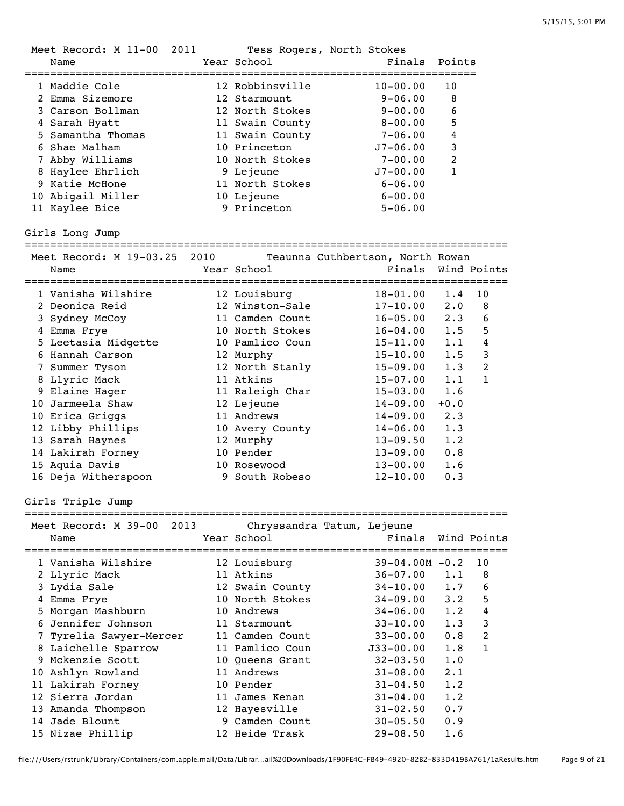| Meet Record: M 11-00 2011    |      | Tess Rogers, North Stokes  |                                  |                  |                |
|------------------------------|------|----------------------------|----------------------------------|------------------|----------------|
| Name                         |      | Year School                | Finals                           | Points           |                |
|                              |      |                            |                                  |                  |                |
| 1 Maddie Cole                |      | 12 Robbinsville            | $10 - 00.00$                     | 10               |                |
| 2 Emma Sizemore              |      | 12 Starmount               | $9 - 06.00$                      | 8                |                |
| 3 Carson Bollman             |      | 12 North Stokes            | $9 - 00.00$                      | 6                |                |
| 4 Sarah Hyatt                |      | 11 Swain County            | $8 - 00.00$                      | 5                |                |
| 5 Samantha Thomas            |      | 11 Swain County            | $7 - 06.00$                      | 4                |                |
| 6 Shae Malham                |      | 10 Princeton               | $J7 - 06.00$                     | $\mathsf 3$      |                |
| 7 Abby Williams              |      | 10 North Stokes            | $7 - 00.00$                      | $\boldsymbol{2}$ |                |
| 8 Haylee Ehrlich             |      | 9 Lejeune                  | $J7 - 00.00$                     | $\mathbf{1}$     |                |
| 9 Katie McHone               |      | 11 North Stokes            | $6 - 06.00$                      |                  |                |
| 10 Abigail Miller            |      | 10 Lejeune                 | $6 - 00.00$                      |                  |                |
|                              |      | 9 Princeton                |                                  |                  |                |
| 11 Kaylee Bice               |      |                            | $5 - 06.00$                      |                  |                |
| Girls Long Jump              |      |                            |                                  |                  |                |
|                              |      |                            |                                  |                  |                |
| Meet Record: M 19-03.25 2010 |      |                            | Teaunna Cuthbertson, North Rowan |                  |                |
| Name                         |      | Year School                | Finals                           |                  | Wind Points    |
|                              |      |                            |                                  |                  |                |
| 1 Vanisha Wilshire           |      | 12 Louisburg               | $18 - 01.00$                     | 1.4              | 10             |
| 2 Deonica Reid               |      | 12 Winston-Sale            | $17 - 10.00$                     | $2 \cdot 0$      | 8              |
| 3 Sydney McCoy               |      | 11 Camden Count            | $16 - 05.00$                     | 2.3              | 6              |
| 4 Emma Frye                  |      | 10 North Stokes            | $16 - 04.00$                     | 1.5              | 5              |
| 5 Leetasia Midgette          |      | 10 Pamlico Coun            | $15 - 11.00$                     | 1.1              | $\bf 4$        |
| 6 Hannah Carson              |      | 12 Murphy                  | $15 - 10.00$                     | 1.5              | $\mathsf 3$    |
| 7 Summer Tyson               |      | 12 North Stanly            | $15 - 09.00$                     | 1.3              | $\overline{2}$ |
| 8 Llyric Mack                |      | 11 Atkins                  | $15 - 07.00$                     | 1.1              | $\mathbf{1}$   |
| 9 Elaine Hager               |      | 11 Raleigh Char            | $15 - 03.00$                     | 1.6              |                |
| 10 Jarmeela Shaw             |      | 12 Lejeune                 | $14 - 09.00$                     | $+0.0$           |                |
|                              |      | 11 Andrews                 |                                  |                  |                |
| 10 Erica Griggs              |      |                            | $14 - 09.00$                     | 2.3              |                |
| 12 Libby Phillips            |      | 10 Avery County            | $14 - 06.00$                     | 1.3              |                |
| 13 Sarah Haynes              |      | 12 Murphy                  | $13 - 09.50$                     | 1.2              |                |
| 14 Lakirah Forney            |      | 10 Pender                  | $13 - 09.00$                     | 0.8              |                |
| 15 Aquia Davis               |      | 10 Rosewood                | $13 - 00.00$                     | 1.6              |                |
| 16 Deja Witherspoon          |      | 9 South Robeso             | $12 - 10.00$                     | 0.3              |                |
| Girls Triple Jump            |      |                            |                                  |                  |                |
|                              |      |                            |                                  |                  |                |
| Meet Record: M 39-00         | 2013 | Chryssandra Tatum, Lejeune |                                  |                  |                |
| Name                         |      | Year School                | Finals                           |                  | Wind Points    |
|                              |      |                            |                                  |                  |                |
| 1 Vanisha Wilshire           |      | 12 Louisburg               | $39-04.00M - 0.2$                |                  | 10             |
| 2 Llyric Mack                |      | 11 Atkins                  | $36 - 07.00$                     | 1.1              | 8              |
| 3 Lydia Sale                 |      | 12 Swain County            | $34 - 10.00$                     | 1.7              | 6              |
| 4 Emma Frye                  |      | 10 North Stokes            | $34 - 09.00$                     | 3.2              | 5              |
| 5 Morgan Mashburn            |      | 10 Andrews                 | $34 - 06.00$                     | 1.2              | 4              |
| 6 Jennifer Johnson           |      | 11 Starmount               | $33 - 10.00$                     | 1.3              | $\mathsf 3$    |
| 7 Tyrelia Sawyer-Mercer      |      | 11 Camden Count            | $33 - 00.00$                     | 0.8              | $\overline{c}$ |
| 8 Laichelle Sparrow          |      | 11 Pamlico Coun            | $J33 - 00.00$                    | 1.8              | $\mathbf{1}$   |
| 9 Mckenzie Scott             |      |                            |                                  |                  |                |
|                              |      | 10 Queens Grant            | $32 - 03.50$                     | 1.0              |                |
| 10 Ashlyn Rowland            |      | 11 Andrews                 | $31 - 08.00$                     | 2.1              |                |
| 11 Lakirah Forney            |      | 10 Pender                  | $31 - 04.50$                     | 1.2              |                |
| 12 Sierra Jordan             |      | 11 James Kenan             | $31 - 04.00$                     | 1.2              |                |
| 13 Amanda Thompson           |      | 12 Hayesville              | $31 - 02.50$                     | 0.7              |                |
| 14 Jade Blount               |      | 9 Camden Count             | $30 - 05.50$                     | 0.9              |                |
| 15 Nizae Phillip             |      | 12 Heide Trask             | $29 - 08.50$                     | 1.6              |                |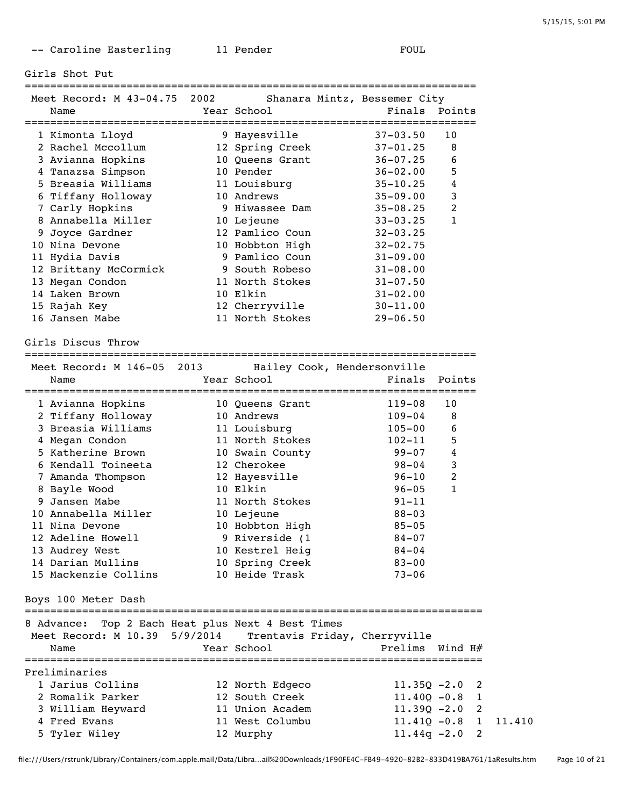-- Caroline Easterling 11 Pender FOUL

=======================================================================

Girls Shot Put

| Meet Record: M 43-04.75 2002 | Shanara Mintz, Bessemer City |               |    |
|------------------------------|------------------------------|---------------|----|
| Name                         | Year School                  | Finals Points |    |
| 1 Kimonta Lloyd              | 9 Hayesville                 | $37 - 03.50$  | 10 |
| 2 Rachel Mccollum            | 12 Spring Creek              | $37 - 01.25$  | 8  |
| 3 Avianna Hopkins            | 10 Oueens Grant              | $36 - 07.25$  | 6  |
| 4 Tanazsa Simpson            | 10 Pender                    | $36 - 02.00$  | 5  |
| 5 Breasia Williams           | 11 Louisburg                 | $35 - 10.25$  | 4  |
| 6 Tiffany Holloway           | 10 Andrews                   | $35 - 09.00$  | 3  |
| 7 Carly Honking              | 9 Hiwassee Dam               | $35 - 08$ 25  |    |

| 6 Tiffany Holloway    | 10 Andrews      | $35 - 09.00$ | 3            |
|-----------------------|-----------------|--------------|--------------|
| 7 Carly Hopkins       | 9 Hiwassee Dam  | $35 - 08.25$ | 2            |
| 8 Annabella Miller    | 10 Lejeune      | $33 - 03.25$ | $\mathbf{1}$ |
| 9 Joyce Gardner       | 12 Pamlico Coun | $32 - 03.25$ |              |
| 10 Nina Devone        | 10 Hobbton High | $32 - 02.75$ |              |
| 11 Hydia Davis        | 9 Pamlico Coun  | $31 - 09.00$ |              |
| 12 Brittany McCormick | 9 South Robeso  | $31 - 08.00$ |              |
| 13 Megan Condon       | 11 North Stokes | $31 - 07.50$ |              |
| 14 Laken Brown        | 10 Elkin        | $31 - 02.00$ |              |
| 15 Rajah Key          | 12 Cherryville  | $30 - 11.00$ |              |

Girls Discus Throw

=======================================================================

16 Jansen Mabe 11 North Stokes 29-06.50

| Meet Record: M 146-05 2013 Hailey Cook, Hendersonville |                               |                |                  |
|--------------------------------------------------------|-------------------------------|----------------|------------------|
| Name                                                   | Year School                   | Finals         | Points           |
| 1 Avianna Hopkins                                      | 10 Queens Grant               | 119-08         | 10               |
| 2 Tiffany Holloway                                     | 10 Andrews                    | $109 - 04$     | 8                |
| 3 Breasia Williams                                     | 11 Louisburg                  | $105 - 00$     | 6                |
| 4 Megan Condon                                         | 11 North Stokes               | $102 - 11$     | 5                |
| 5 Katherine Brown                                      | 10 Swain County               | $99 - 07$      | 4                |
| 6 Kendall Toineeta                                     | 12 Cherokee                   | $98 - 04$      | 3                |
| 7 Amanda Thompson                                      | 12 Hayesville                 | $96 - 10$      | $\overline{2}$   |
| 8 Bayle Wood                                           | 10 Elkin                      | $96 - 05$      | $\mathbf{1}$     |
| 9 Jansen Mabe                                          | 11 North Stokes               | $91 - 11$      |                  |
| 10 Annabella Miller                                    | 10 Lejeune                    | $88 - 03$      |                  |
| 11 Nina Devone                                         | 10 Hobbton High               | $85 - 05$      |                  |
| 12 Adeline Howell                                      | 9 Riverside (1                | $84 - 07$      |                  |
| 13 Audrey West                                         | 10 Kestrel Heig               | $84 - 04$      |                  |
| 14 Darian Mullins                                      | 10 Spring Creek               | $83 - 00$      |                  |
| 15 Mackenzie Collins                                   | 10 Heide Trask                | $73 - 06$      |                  |
| Boys 100 Meter Dash                                    |                               |                |                  |
| 8 Advance: Top 2 Each Heat plus Next 4 Best Times      |                               |                |                  |
| Meet Record: M 10.39 5/9/2014                          | Trentavis Friday, Cherryville |                |                  |
| Name                                                   | Year School                   | Prelims        | Wind H#          |
| Preliminaries                                          |                               |                |                  |
| 1 Jarius Collins                                       | 12 North Edgeco               |                | $11.35Q - 2.0$ 2 |
| 2 Romalik Parker                                       | 12 South Creek                |                | $11.40Q - 0.8$ 1 |
| 3 William Heyward                                      | 11 Union Academ               |                | $11.39Q - 2.0$ 2 |
| 4 Fred Evans                                           | 11 West Columbu               | $11.410 - 0.8$ | 1                |

5 Tyler Wiley 12 Murphy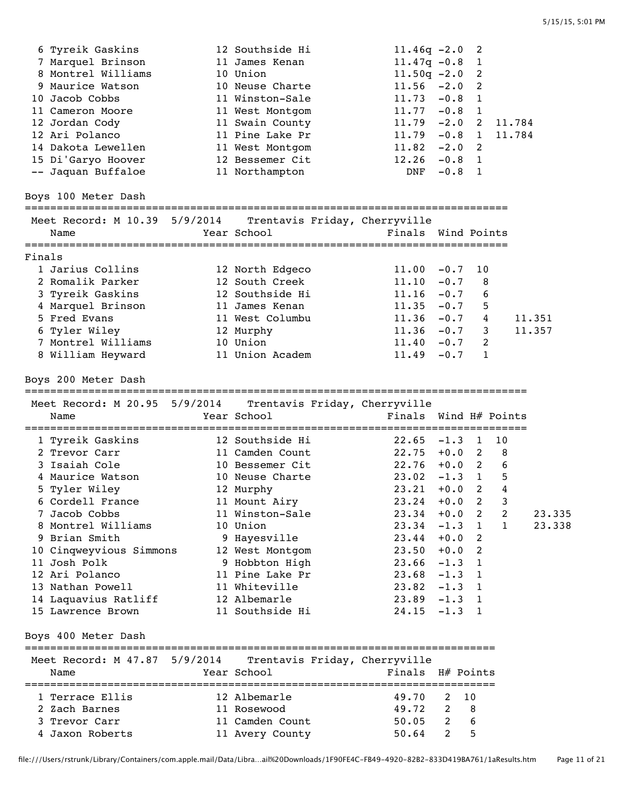|        | 6 Tyreik Gaskins                        | 12 Southside Hi                                             | $11.46q -2.0$         |                | 2                          |              |        |
|--------|-----------------------------------------|-------------------------------------------------------------|-----------------------|----------------|----------------------------|--------------|--------|
|        | 7 Marquel Brinson                       | 11 James Kenan                                              | $11.47q - 0.8$        |                | 1                          |              |        |
|        | 8 Montrel Williams                      | 10 Union                                                    | $11.50q -2.0$         |                | 2                          |              |        |
|        | 9 Maurice Watson                        | 10 Neuse Charte                                             | $11.56 -2.0$          |                | 2                          |              |        |
|        | 10 Jacob Cobbs                          | 11 Winston-Sale                                             | $11.73 - 0.8$ 1       |                |                            |              |        |
|        | 11 Cameron Moore                        | 11 West Montgom                                             | $11.77 - 0.8$ 1       |                |                            |              |        |
|        | 12 Jordan Cody                          | 11 Swain County                                             | $11.79 - 2.0$ 2       |                |                            | 11.784       |        |
|        | 12 Ari Polanco                          | 11 Pine Lake Pr                                             | $11.79 - 0.8 1$       |                |                            | 11.784       |        |
|        | 14 Dakota Lewellen                      | 11 West Montgom                                             | $11.82 -2.0$ 2        |                |                            |              |        |
|        | 15 Di'Garyo Hoover                      | 12 Bessemer Cit                                             | $12.26 -0.8 1$        |                |                            |              |        |
|        | -- Jaquan Buffaloe                      | 11 Northampton                                              | DNF -0.8 1            |                |                            |              |        |
|        |                                         |                                                             |                       |                |                            |              |        |
|        | Boys 100 Meter Dash                     |                                                             |                       |                |                            |              |        |
|        |                                         | Meet Record: M 10.39 5/9/2014 Trentavis Friday, Cherryville |                       |                |                            |              |        |
|        | Name                                    | Year School                                                 | Finals Wind Points    |                |                            |              |        |
|        |                                         |                                                             |                       |                |                            |              |        |
| Finals |                                         |                                                             |                       |                |                            |              |        |
|        | 1 Jarius Collins                        | 12 North Edgeco                                             | $11.00 - 0.7$         |                | 10                         |              |        |
|        | 2 Romalik Parker                        | 12 South Creek                                              | $11.10 - 0.7$         |                | $\overline{\phantom{1}}$ 8 |              |        |
|        | 3 Tyreik Gaskins                        | 12 Southside Hi                                             | $11.16 -0.7$ 6        |                |                            |              |        |
|        | 4 Marquel Brinson                       | 11 James Kenan                                              | $11.35 -0.7$ 5        |                |                            |              |        |
|        | 5 Fred Evans                            | 11 West Columbu                                             | $11.36 -0.7 4$        |                |                            |              | 11.351 |
|        | 6 Tyler Wiley                           | 12 Murphy                                                   | $11.36 -0.7$ 3        |                |                            |              | 11.357 |
|        | 7 Montrel Williams                      | 10 Union                                                    | $11.40 -0.7$ 2        |                |                            |              |        |
|        | 8 William Heyward                       | 11 Union Academ                                             | $11.49 - 0.7 1$       |                |                            |              |        |
|        |                                         |                                                             |                       |                |                            |              |        |
|        | Boys 200 Meter Dash                     |                                                             |                       |                |                            |              |        |
|        |                                         | Meet Record: M 20.95 5/9/2014 Trentavis Friday, Cherryville |                       |                |                            |              |        |
|        | Name                                    | Year School                                                 | Finals Wind H# Points |                |                            |              |        |
|        |                                         |                                                             |                       |                |                            |              |        |
|        | 1 Tyreik Gaskins                        | 12 Southside Hi                                             | $22.65 -1.3 1$        |                |                            | 10           |        |
|        | 2 Trevor Carr                           | 11 Camden Count                                             | $22.75 + 0.0 2 8$     |                |                            |              |        |
|        | 3 Isaiah Cole                           | 10 Bessemer Cit                                             | $22.76 + 0.0 2 6$     |                |                            |              |        |
|        | 4 Maurice Watson                        | 10 Neuse Charte                                             | $23.02 -1.3$ 1        |                |                            | 5            |        |
|        | 5 Tyler Wiley                           | 12 Murphy                                                   | 23.21                 |                | $+0.0$ 2                   | 4            |        |
|        | 6 Cordell France                        | 11 Mount Airy                                               | $23.24 + 0.02$        |                |                            | 3            |        |
|        | 7 Jacob Cobbs                           | 11 Winston-Sale                                             | $23.34 + 0.0$ 2       |                |                            | 2            | 23.335 |
|        | 8 Montrel Williams                      | 10 Union                                                    | $23.34 -1.3$ 1        |                |                            | $\mathbf{1}$ | 23.338 |
|        | 9 Brian Smith                           | 9 Hayesville                                                | $23.44 + 0.0$ 2       |                |                            |              |        |
|        |                                         | 12 West Montgom                                             | $23.50 + 0.0$         |                | 2                          |              |        |
|        | 10 Cinqweyvious Simmons<br>11 Josh Polk |                                                             | $23.66 - 1.3 1$       |                |                            |              |        |
|        |                                         | 9 Hobbton High                                              |                       |                |                            |              |        |
|        | 12 Ari Polanco                          | 11 Pine Lake Pr                                             | $23.68 - 1.3 1$       |                |                            |              |        |
|        | 13 Nathan Powell                        | 11 Whiteville                                               | $23.82 -1.3 1$        |                |                            |              |        |
|        | 14 Laquavius Ratliff                    | 12 Albemarle                                                | $23.89 - 1.3 1$       |                |                            |              |        |
|        | 15 Lawrence Brown                       | 11 Southside Hi                                             | 24.15                 | $-1.3$ 1       |                            |              |        |
|        | Boys 400 Meter Dash                     |                                                             |                       |                |                            |              |        |
|        |                                         |                                                             |                       |                |                            |              |        |
|        | Meet Record: M 47.87 5/9/2014<br>Name   | Trentavis Friday, Cherryville                               |                       |                |                            |              |        |
|        |                                         | Year School                                                 | Finals H# Points      |                |                            |              |        |
|        |                                         |                                                             |                       |                |                            |              |        |
|        | 1 Terrace Ellis                         | 12 Albemarle                                                | 49.70                 | 2              | - 10                       |              |        |
|        | 2 Zach Barnes                           | 11 Rosewood                                                 | 49.72                 | 2              | $_{\rm 8}$                 |              |        |
|        | 3 Trevor Carr                           | 11 Camden Count                                             |                       | $\overline{2}$ | 6                          |              |        |
|        | 4 Jaxon Roberts                         | 11 Avery County                                             | 50.05<br>50.64        | $\overline{2}$ | 5                          |              |        |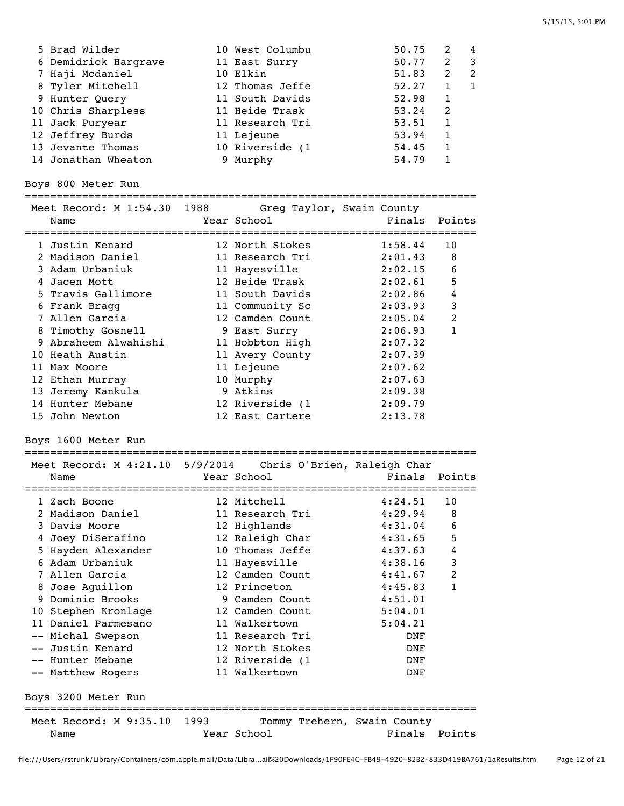| 5 Brad Wilder        | 10 West Columbu | 50.75 | $\mathcal{L}$ | 4                          |
|----------------------|-----------------|-------|---------------|----------------------------|
| 6 Demidrick Hargrave | 11 East Surry   | 50.77 | 2             | $\overline{\phantom{a}}$ 3 |
| 7 Haji Mcdaniel      | 10 Elkin        | 51.83 | 2             | $\overline{2}$             |
| 8 Tyler Mitchell     | 12 Thomas Jeffe | 52.27 |               |                            |
| 9 Hunter Query       | 11 South Davids | 52.98 | 1             |                            |
| 10 Chris Sharpless   | 11 Heide Trask  | 53.24 | 2             |                            |
| 11 Jack Puryear      | 11 Research Tri | 53.51 | 1             |                            |
| 12 Jeffrey Burds     | 11 Lejeune      | 53.94 | 1             |                            |
| 13 Jevante Thomas    | 10 Riverside (1 | 54.45 | 1             |                            |
| 14 Jonathan Wheaton  | 9 Murphy        | 54.79 |               |                            |
|                      |                 |       |               |                            |

Boys 800 Meter Run

Boys 3200 Meter Run

| Meet Record: M 1:54.30 1988 Greg Taylor, Swain County<br>Finals<br>Year School<br>Points<br>Name<br>12 North Stokes<br>1:58.44<br>10<br>1 Justin Kenard<br>2 Madison Daniel<br>2:01.43<br>11 Research Tri<br>8<br>3 Adam Urbaniuk<br>2:02.15<br>11 Hayesville<br>6<br>12 Heide Trask<br>4 Jacen Mott<br>2:02.61<br>5<br>5 Travis Gallimore<br>11 South Davids<br>2:02.86<br>4<br>3<br>6 Frank Bragg<br>11 Community Sc<br>2:03.93<br>7 Allen Garcia<br>$\overline{c}$<br>12 Camden Count<br>2:05.04<br>$\mathbf{1}$<br>8 Timothy Gosnell<br>9 East Surry<br>2:06.93<br>9 Abraheem Alwahishi<br>11 Hobbton High<br>2:07.32 |
|---------------------------------------------------------------------------------------------------------------------------------------------------------------------------------------------------------------------------------------------------------------------------------------------------------------------------------------------------------------------------------------------------------------------------------------------------------------------------------------------------------------------------------------------------------------------------------------------------------------------------|
|                                                                                                                                                                                                                                                                                                                                                                                                                                                                                                                                                                                                                           |
|                                                                                                                                                                                                                                                                                                                                                                                                                                                                                                                                                                                                                           |
|                                                                                                                                                                                                                                                                                                                                                                                                                                                                                                                                                                                                                           |
|                                                                                                                                                                                                                                                                                                                                                                                                                                                                                                                                                                                                                           |
|                                                                                                                                                                                                                                                                                                                                                                                                                                                                                                                                                                                                                           |
|                                                                                                                                                                                                                                                                                                                                                                                                                                                                                                                                                                                                                           |
|                                                                                                                                                                                                                                                                                                                                                                                                                                                                                                                                                                                                                           |
|                                                                                                                                                                                                                                                                                                                                                                                                                                                                                                                                                                                                                           |
|                                                                                                                                                                                                                                                                                                                                                                                                                                                                                                                                                                                                                           |
|                                                                                                                                                                                                                                                                                                                                                                                                                                                                                                                                                                                                                           |
|                                                                                                                                                                                                                                                                                                                                                                                                                                                                                                                                                                                                                           |
| 10 Heath Austin<br>11 Avery County<br>2:07.39                                                                                                                                                                                                                                                                                                                                                                                                                                                                                                                                                                             |
| 11 Lejeune<br>2:07.62<br>11 Max Moore                                                                                                                                                                                                                                                                                                                                                                                                                                                                                                                                                                                     |
| 10 Murphy<br>2:07.63<br>12 Ethan Murray                                                                                                                                                                                                                                                                                                                                                                                                                                                                                                                                                                                   |
| 9 Atkins<br>13 Jeremy Kankula<br>2:09.38                                                                                                                                                                                                                                                                                                                                                                                                                                                                                                                                                                                  |
| 14 Hunter Mebane<br>12 Riverside (1<br>2:09.79                                                                                                                                                                                                                                                                                                                                                                                                                                                                                                                                                                            |
| 12 East Cartere<br>2:13.78<br>15 John Newton                                                                                                                                                                                                                                                                                                                                                                                                                                                                                                                                                                              |
| Boys 1600 Meter Run<br>------------                                                                                                                                                                                                                                                                                                                                                                                                                                                                                                                                                                                       |
| Meet Record: M 4:21.10 5/9/2014 Chris O'Brien, Raleigh Char                                                                                                                                                                                                                                                                                                                                                                                                                                                                                                                                                               |
| Finals<br>Year School<br>Points<br>Name                                                                                                                                                                                                                                                                                                                                                                                                                                                                                                                                                                                   |
|                                                                                                                                                                                                                                                                                                                                                                                                                                                                                                                                                                                                                           |
| 12 Mitchell<br>1 Zach Boone<br>4:24.51<br>10                                                                                                                                                                                                                                                                                                                                                                                                                                                                                                                                                                              |
| 2 Madison Daniel<br>11 Research Tri<br>4:29.94<br>8                                                                                                                                                                                                                                                                                                                                                                                                                                                                                                                                                                       |
| 3 Davis Moore<br>12 Highlands<br>4:31.04<br>6                                                                                                                                                                                                                                                                                                                                                                                                                                                                                                                                                                             |
| 4 Joey DiSerafino<br>12 Raleigh Char<br>4:31.65<br>5                                                                                                                                                                                                                                                                                                                                                                                                                                                                                                                                                                      |
| 10 Thomas Jeffe<br>5 Hayden Alexander<br>4<br>4:37.63                                                                                                                                                                                                                                                                                                                                                                                                                                                                                                                                                                     |
| 6 Adam Urbaniuk<br>3<br>11 Hayesville<br>4:38.16                                                                                                                                                                                                                                                                                                                                                                                                                                                                                                                                                                          |
| $\overline{2}$<br>7 Allen Garcia<br>12 Camden Count<br>4:41.67                                                                                                                                                                                                                                                                                                                                                                                                                                                                                                                                                            |
| $\mathbf{1}$<br>12 Princeton<br>8 Jose Aquillon<br>4:45.83                                                                                                                                                                                                                                                                                                                                                                                                                                                                                                                                                                |

 9 Dominic Brooks 9 Camden Count 4:51.01 10 Stephen Kronlage 12 Camden Count 5:04.01 11 Daniel Parmesano 11 Walkertown 5:04.21 -- Michal Swepson 11 Research Tri DNF -- Justin Kenard 12 North Stokes DNF -- Hunter Mebane 12 Riverside (1 DNF -- Matthew Rogers 11 Walkertown DNF

=======================================================================

Name The Year School Team Points Points

Meet Record: M 9:35.10 1993 Tommy Trehern, Swain County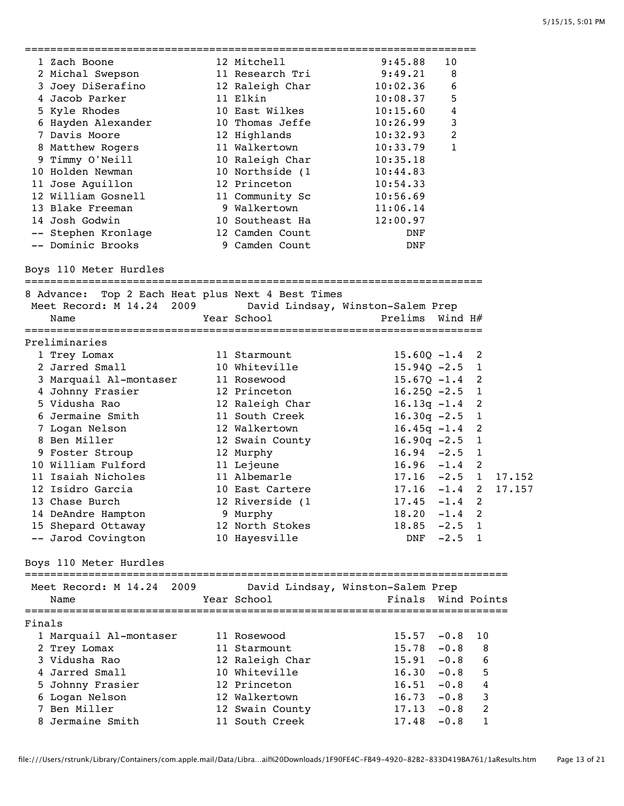|        | 1 Zach Boone                                                | 12 Mitchell     | 9:45.88                           | 10             |                            |        |
|--------|-------------------------------------------------------------|-----------------|-----------------------------------|----------------|----------------------------|--------|
|        | 2 Michal Swepson                                            | 11 Research Tri | 9:49.21                           | 8              |                            |        |
|        | 3 Joey DiSerafino                                           | 12 Raleigh Char | 10:02.36                          | 6              |                            |        |
|        | 4 Jacob Parker                                              | 11 Elkin        | 10:08.37                          | 5              |                            |        |
|        | 5 Kyle Rhodes                                               | 10 East Wilkes  | 10:15.60                          | $\overline{4}$ |                            |        |
|        | 6 Hayden Alexander                                          | 10 Thomas Jeffe | 10:26.99                          | $\mathbf{3}$   |                            |        |
|        | 7 Davis Moore                                               | 12 Highlands    | 10:32.93                          | $\overline{2}$ |                            |        |
|        | 8 Matthew Rogers                                            | 11 Walkertown   | 10:33.79                          | $\mathbf{1}$   |                            |        |
|        | 9 Timmy O'Neill                                             | 10 Raleigh Char | 10:35.18                          |                |                            |        |
|        | 10 Holden Newman                                            | 10 Northside (1 | 10:44.83                          |                |                            |        |
|        | 11 Jose Aguillon                                            | 12 Princeton    | 10:54.33                          |                |                            |        |
|        | 12 William Gosnell                                          | 11 Community Sc | 10:56.69                          |                |                            |        |
|        | 13 Blake Freeman                                            | 9 Walkertown    | 11:06.14                          |                |                            |        |
|        | 14 Josh Godwin                                              | 10 Southeast Ha | 12:00.97                          |                |                            |        |
|        | -- Stephen Kronlage                                         | 12 Camden Count | DNF                               |                |                            |        |
|        | -- Dominic Brooks                                           | 9 Camden Count  | DNF                               |                |                            |        |
|        | Boys 110 Meter Hurdles                                      |                 |                                   |                |                            |        |
|        | 8 Advance: Top 2 Each Heat plus Next 4 Best Times           |                 |                                   |                |                            |        |
|        | Meet Record: M 14.24 2009 David Lindsay, Winston-Salem Prep |                 |                                   |                |                            |        |
|        | Name                                                        | Year School     | Prelims Wind H#                   |                |                            |        |
|        | Preliminaries                                               |                 |                                   |                |                            |        |
|        | 1 Trey Lomax                                                | 11 Starmount    | $15.60Q - 1.4$                    |                | 2                          |        |
|        | 2 Jarred Small                                              | 10 Whiteville   | $15.94Q - 2.5$ 1                  |                |                            |        |
|        | 3 Marquail Al-montaser                                      | 11 Rosewood     | $15.67Q - 1.4$ 2                  |                |                            |        |
|        | 4 Johnny Frasier                                            | 12 Princeton    | $16.25Q - 2.5$ 1                  |                |                            |        |
|        | 5 Vidusha Rao                                               | 12 Raleigh Char | $16.13q - 1.4$ 2                  |                |                            |        |
|        | 6 Jermaine Smith                                            | 11 South Creek  | $16.30q -2.5$                     |                | $\overline{1}$             |        |
|        | 7 Logan Nelson                                              | 12 Walkertown   | $16.45q -1.4$                     |                | $\overline{\phantom{0}}$ 2 |        |
|        | 8 Ben Miller                                                | 12 Swain County | $16.90q -2.5$ 1                   |                |                            |        |
|        | 9 Foster Stroup                                             | 12 Murphy       | $16.94 - 2.5$ 1                   |                |                            |        |
|        | 10 William Fulford                                          | 11 Lejeune      | $16.96 - 1.4$ 2                   |                |                            |        |
|        | 11 Isaiah Nicholes                                          | 11 Albemarle    | $17.16 -2.5$ 1                    |                |                            | 17.152 |
|        | 12 Isidro Garcia                                            | 10 East Cartere | $17.16 - 1.4$ 2                   |                |                            | 17.157 |
|        | 13 Chase Burch                                              | 12 Riverside (1 | $17.45 - 1.4$ 2                   |                |                            |        |
|        | 14 DeAndre Hampton                                          | 9 Murphy        | $18.20 -1.4$ 2                    |                |                            |        |
|        | 15 Shepard Ottaway                                          | 12 North Stokes | $18.85 -2.5 1$                    |                |                            |        |
|        | -- Jarod Covington                                          | 10 Hayesville   |                                   | DNF -2.5 1     |                            |        |
|        | Boys 110 Meter Hurdles                                      |                 |                                   |                |                            |        |
|        | 2009<br>Meet Record: M 14.24                                |                 | David Lindsay, Winston-Salem Prep |                |                            |        |
|        | Name                                                        | Year School     | Finals Wind Points                |                |                            |        |
|        |                                                             |                 |                                   |                |                            |        |
| Finals |                                                             |                 |                                   |                |                            |        |
|        | 1 Marquail Al-montaser                                      | 11 Rosewood     | 15.57                             | $-0.8$         | 10                         |        |
|        | 2 Trey Lomax                                                | 11 Starmount    | $15.78 - 0.8$                     |                | 8                          |        |
|        | 3 Vidusha Rao                                               | 12 Raleigh Char | $15.91 - 0.8$                     |                | 6                          |        |
|        | 4 Jarred Small                                              | 10 Whiteville   | $16.30 - 0.8$                     |                | 5                          |        |
|        | 5 Johnny Frasier                                            | 12 Princeton    | $16.51 - 0.8$                     |                | 4                          |        |
|        | 6 Logan Nelson                                              | 12 Walkertown   | $16.73 - 0.8$                     |                | 3                          |        |
|        | 7 Ben Miller                                                | 12 Swain County | $17.13 - 0.8$                     |                | $\overline{c}$             |        |
|        | 8 Jermaine Smith                                            | 11 South Creek  | $17.48 - 0.8$                     |                | 1                          |        |

file:///Users/rstrunk/Library/Containers/com.apple.mail/Data/Libra…ail%20Downloads/1F90FE4C-FB49-4920-82B2-833D419BA761/1aResults.htm Page 13 of 21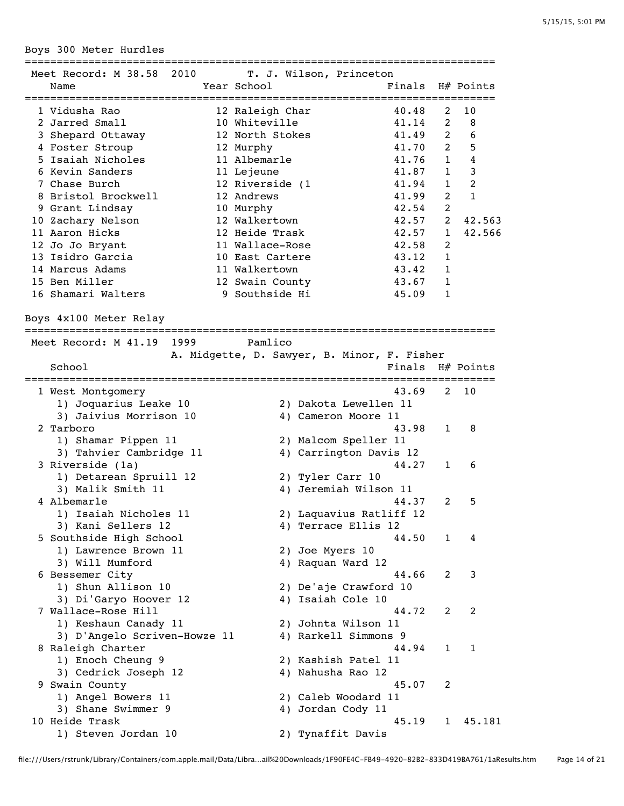Boys 300 Meter Hurdles

| Meet Record: M 38.58 2010           | T. J. Wilson, Princeton                     |                              |                |                |
|-------------------------------------|---------------------------------------------|------------------------------|----------------|----------------|
| Name                                | Year School                                 | Finals H# Points             |                |                |
|                                     |                                             |                              |                |                |
| 1 Vidusha Rao                       | 12 Raleigh Char                             | 40.48                        | 2              | 10             |
| 2 Jarred Small                      | 10 Whiteville                               | 41.14                        | $\overline{2}$ | 8              |
| 3 Shepard Ottaway                   | 12 North Stokes                             | 41.49                        | $\overline{2}$ | 6              |
| 4 Foster Stroup                     | 12 Murphy                                   | 41.70                        | 2              | 5              |
| 5 Isaiah Nicholes                   | 11 Albemarle                                | 41.76                        | $\mathbf{1}$   | $\bf 4$        |
| 6 Kevin Sanders                     | 11 Lejeune                                  | 41.87                        | $\mathbf{1}$   | 3              |
| 7 Chase Burch                       | 12 Riverside (1                             | 41.94                        | $\mathbf{1}$   | $\overline{2}$ |
| 8 Bristol Brockwell                 | 12 Andrews                                  | 41.99                        | $\overline{2}$ | 1              |
| 9 Grant Lindsay                     | 10 Murphy                                   | 42.54                        | $\overline{c}$ |                |
| 10 Zachary Nelson                   | 12 Walkertown                               | 42.57                        | $\overline{2}$ | 42.563         |
| 11 Aaron Hicks                      | 12 Heide Trask                              | 42.57                        | 1              | 42.566         |
| 12 Jo Jo Bryant                     | 11 Wallace-Rose                             | 42.58                        | 2              |                |
| 13 Isidro Garcia                    | 10 East Cartere                             | 43.12                        | $\mathbf{1}$   |                |
| 14 Marcus Adams                     | 11 Walkertown                               | 43.42                        | 1              |                |
| 15 Ben Miller                       |                                             |                              | $\mathbf{1}$   |                |
|                                     | 12 Swain County                             | 43.67                        |                |                |
| 16 Shamari Walters                  | 9 Southside Hi                              | 45.09                        | $\mathbf{1}$   |                |
| Boys 4x100 Meter Relay              |                                             |                              |                |                |
| Meet Record: M 41.19 1999 Pamlico   |                                             |                              |                |                |
|                                     | A. Midgette, D. Sawyer, B. Minor, F. Fisher |                              |                |                |
| School                              |                                             | Finals H# Points             |                |                |
|                                     |                                             |                              |                |                |
| 1 West Montgomery                   |                                             | 43.69                        | 2              | 10             |
| 1) Joquarius Leake 10               |                                             | 2) Dakota Lewellen 11        |                |                |
|                                     |                                             |                              |                |                |
| 3) Jaivius Morrison 10<br>2 Tarboro |                                             | 4) Cameron Moore 11<br>43.98 |                |                |
|                                     |                                             |                              | 1              | 8              |
| 1) Shamar Pippen 11                 |                                             | 2) Malcom Speller 11         |                |                |
| 3) Tahvier Cambridge 11             |                                             | 4) Carrington Davis 12       |                |                |
| 3 Riverside (1a)                    |                                             | 44.27                        | 1              | 6              |
| 1) Detarean Spruill 12              | 2) Tyler Carr 10                            |                              |                |                |
| 3) Malik Smith 11                   |                                             | 4) Jeremiah Wilson 11        |                |                |
| 4 Albemarle                         |                                             | 44.37                        | 2              | 5              |
| 1) Isaiah Nicholes 11               |                                             | 2) Laquavius Ratliff 12      |                |                |
| 3) Kani Sellers 12                  |                                             | 4) Terrace Ellis 12          |                |                |
| 5 Southside High School             |                                             | 44.50                        | 1              | 4              |
| 1) Lawrence Brown 11                | 2) Joe Myers 10                             |                              |                |                |
| 3) Will Mumford                     | 4) Raquan Ward 12                           |                              |                |                |
| 6 Bessemer City                     |                                             | 44.66                        | 2              | 3              |
| 1) Shun Allison 10                  |                                             | 2) De'aje Crawford 10        |                |                |
| 3) Di'Garyo Hoover 12               | 4) Isaiah Cole 10                           |                              |                |                |
| 7 Wallace-Rose Hill                 |                                             | 44.72                        | 2              | 2              |
| 1) Keshaun Canady 11                |                                             | 2) Johnta Wilson 11          |                |                |
| 3) D'Angelo Scriven-Howze 11        |                                             | 4) Rarkell Simmons 9         |                |                |
| 8 Raleigh Charter                   |                                             | 44.94                        | 1              | 1              |
|                                     |                                             |                              |                |                |
| 1) Enoch Cheung 9                   |                                             | 2) Kashish Patel 11          |                |                |
| 3) Cedrick Joseph 12                | 4) Nahusha Rao 12                           |                              |                |                |
| 9 Swain County                      |                                             | 45.07                        | 2              |                |
| 1) Angel Bowers 11                  |                                             | 2) Caleb Woodard 11          |                |                |
| 3) Shane Swimmer 9                  | 4) Jordan Cody 11                           |                              |                |                |
| 10 Heide Trask                      |                                             | 45.19                        | 1              | 45.181         |
| 1) Steven Jordan 10                 | 2) Tynaffit Davis                           |                              |                |                |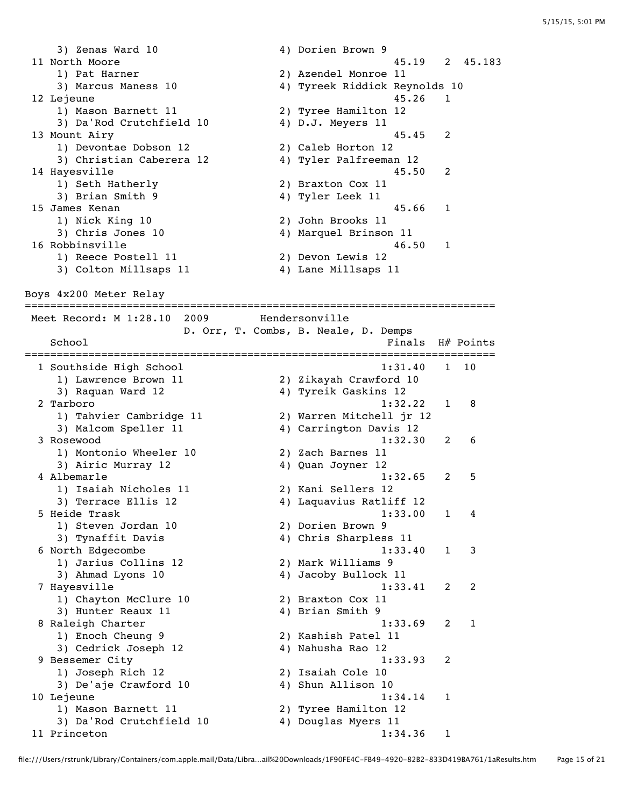3) Zenas Ward 10 4) Dorien Brown 9 11 North Moore 45.19 2 45.183 1) Pat Harner 2) Azendel Monroe 11 3) Marcus Maness 10 4) Tyreek Riddick Reynolds 10 12 Lejeune 12 anisotropic et al. (1990) 12 anisotropic et al. (1991) 12 anisotropic et al. (1991) 12 anisotropic et al. (1991) 12 anisotropic et al. (1991) 12 anisotropic et al. (1991) 12 anisotropic et al. (1991) 12 aniso 1) Mason Barnett 11 2) Tyree Hamilton 12 3) Da'Rod Crutchfield 10 4) D.J. Meyers 11 13 Mount Airy 15.45 2<br>
1) Devontae Dobson 12 2) Caleb Horton 12<br>
3) Christian Caberera 12 4) Tyler Palfreeman 12 1) Devontae Dobson 12 2) Caleb Horton 12 3) Christian Caberera 12 4) Tyler Palfreeman 12 14 Hayesville 45.50 2 1) Seth Hatherly 2) Braxton Cox 11 3) Brian Smith 9 4) Tyler Leek 11 15 James Kenan 45.66 1 1) Nick King 10 2) John Brooks 11 3) Chris Jones 10 4) Marquel Brinson 11 16 Robbinsville 46.50 1 1) Reece Postell 11 2) Devon Lewis 12 3) Colton Millsaps 11 (4) Lane Millsaps 11 Boys 4x200 Meter Relay ========================================================================== Meet Record: M 1:28.10 2009 Hendersonville D. Orr, T. Combs, B. Neale, D. Demps School **Finals H**# Points ========================================================================== 1 Southside High School 1:31.40 1 10 1) Lawrence Brown 11 2) Zikayah Crawford 10 3) Raquan Ward 12 4) Tyreik Gaskins 12 2 Tarboro 1:32.22 1 8 1) Tahvier Cambridge 11 2) Warren Mitchell jr 12 3) Malcom Speller 11 4) Carrington Davis 12 3 Rosewood 1:32.30 2 6 1) Montonio Wheeler 10 2) Zach Barnes 11 3) Airic Murray 12 4) Quan Joyner 12 4 Albemarle 1:32.65 2 5 1) Isaiah Nicholes 11 2) Kani Sellers 12 3) Terrace Ellis 12 4) Laquavius Ratliff 12 5 Heide Trask 1:33.00 1 4 1) Steven Jordan 10 2) Dorien Brown 9 3) Tynaffit Davis 4) Chris Sharpless 11 6 North Edgecombe 1:33.40 1 3 1) Jarius Collins 12 2) Mark Williams 9 3) Ahmad Lyons 10 4) Jacoby Bullock 11 7 Hayesville 1:33.41 2 2 1) Chayton McClure 10 2) Braxton Cox 11 3) Hunter Reaux 11 4) Brian Smith 9 8 Raleigh Charter 1:33.69 2 1 1) Enoch Cheung 9 2) Kashish Patel 11 3) Cedrick Joseph 12 (4) Nahusha Rao 12 9 Bessemer City 1:33.93 2 1) Joseph Rich 12 2) Isaiah Cole 10 3) De'aje Crawford 10  $\hskip1cm$  4) Shun Allison 10 10 Lejeune 1:34.14 1 1) Mason Barnett 11 2) Tyree Hamilton 12 3) Da'Rod Crutchfield 10 4) Douglas Myers 11 11 Princeton 1:34.36 1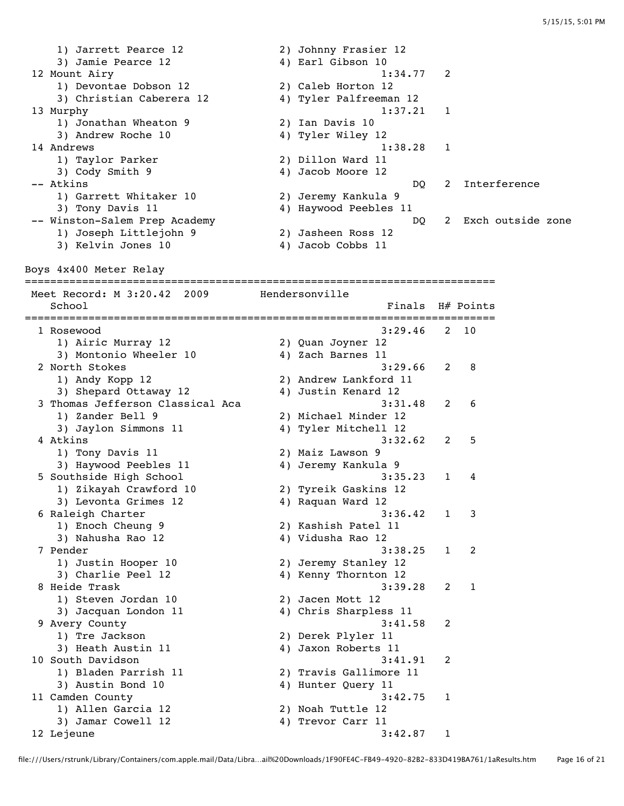1) Jarrett Pearce 12 2) Johnny Frasier 12 3) Jamie Pearce 12 (4) Earl Gibson 10 12 Mount Airy 1:34.77 2 1) Devontae Dobson 12 2) Caleb Horton 12 3) Christian Caberera 12 4) Tyler Palfreeman 12 13 Murphy 1:37.21 1 1) Jonathan Wheaton 9 2) Ian Davis 10 3) Andrew Roche 10 4) Tyler Wiley 12 14 Andrews 1:38.28 1 1) Taylor Parker 2) Dillon Ward 11 3) Cody Smith 9 4) Jacob Moore 12 -- Atkins DQ 2 Interference 1) Garrett Whitaker 10 2) Jeremy Kankula 9 1) Garrett Whitaker 10 (2) Jeremy Kankula 9<br>3) Tony Davis 11 (4) Haywood Peebles 11 -- Winston-Salem Prep Academy DQ 2 Exch outside zone 1) Joseph Littlejohn 9 2) Jasheen Ross 12 3) Kelvin Jones 10 (4) Jacob Cobbs 11 Boys 4x400 Meter Relay ========================================================================== Meet Record: M 3:20.42 2009 Hendersonville School **Finals** H# Points ========================================================================== 1 Rosewood 3:29.46 2 10 1) Airic Murray 12 2) Quan Joyner 12 3) Montonio Wheeler 10  $4$ ) Zach Barnes 11 2 North Stokes 3:29.66 2 8 1) Andy Kopp 12 2) Andrew Lankford 11<br>3) Shepard Ottaway 12 4) Justin Kenard 12 a and the contract of the contract the contract of the contract of the 3; Shepard Ottaway 12 4) Justin Kenard 12<br>2 6 3:31.48 3:31.48 6 3:31.48 2 6 3 Thomas Jefferson Classical Aca<br>3:31.48 2 3:31.48 3:31.48 2 1) Zander Bell 9 2) Michael Minder 12 3) Jaylon Simmons 11 4) Tyler Mitchell 12 4 Atkins 3:32.62 2 5 1) Tony Davis 11 2) Maiz Lawson 9 3) Haywood Peebles 11 4) Jeremy Kankula 9 5 Southside High School 3:35.23 1 4 1) Zikayah Crawford 10 2) Tyreik Gaskins 12 3) Levonta Grimes 12 (4) Raquan Ward 12 6 Raleigh Charter 3:36.42 1 3 1) Enoch Cheung 9 2) Kashish Patel 11 3) Nahusha Rao 12 4) Vidusha Rao 12 7 Pender 3:38.25 1 2 1) Justin Hooper 10 2) Jeremy Stanley 12 3) Charlie Peel 12 4) Kenny Thornton 12 8 Heide Trask 3:39.28 2 1 1) Steven Jordan 10<br>3) Jacquan London 11 2) Jacen Mott 12<br>4) Chris Sharpless 11 9 Avery County 3:41.58 2 1) Tre Jackson 2) Derek Plyler 11 3) Heath Austin 11 4) Jaxon Roberts 11 10 South Davidson 3:41.91 2 1) Bladen Parrish 11 2) Travis Gallimore 11 3) Austin Bond 10 4) Hunter Query 11 11 Camden County 2:42.75 1 1) Allen Garcia 12 2) Noah Tuttle 12 3) Jamar Cowell 12 4) Trevor Carr 11 12 Lejeune 3:42.87 1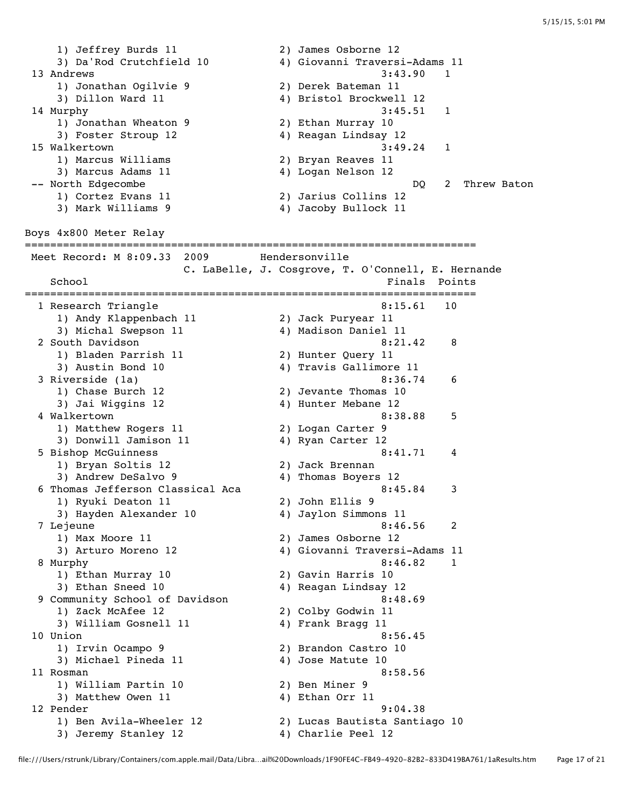1) Jeffrey Burds 11 2) James Osborne 12 3) Da'Rod Crutchfield 10 4) Giovanni Traversi-Adams 11 13 Andrews 3:43.90 1 1) Jonathan Ogilvie 9 ndiale and the set of the set of the set of the set of the set of the set of the set of the set of the set of<br>3) Dillon Ward 11 4) Bristol Brockwell 12 14 Murphy 3:45.51 1 1) Jonathan Wheaton 9 2) Ethan Murray 10 3) Foster Stroup 12 4) Reagan Lindsay 12 15 Walkertown 3:49.24 1 1) Marcus Williams 2) Bryan Reaves 11 3) Marcus Adams 11 (4) Logan Nelson 12 -- North Edgecombe 2008 and 2008 and 2008 and 2008 and 2008 and 2008 and 2008 and 2008 and 2008 and 2008 and 2008 and 2008 and 2008 and 2008 and 2008 and 2008 and 2008 and 2008 and 2008 and 2008 and 2008 and 2008 and 2008 1) Cortez Evans 11 2) Jarius Collins 12 3) Mark Williams 9 4) Jacoby Bullock 11 Boys 4x800 Meter Relay ======================================================================= Meet Record: M 8:09.33 2009 Hendersonville C. LaBelle, J. Cosgrove, T. O'Connell, E. Hernande School **Finals** Points ======================================================================= 1 Research Triangle 1) Andy Klappenbach 11 2) Jack Puryear 11 3) Michal Swepson 11 4) Madison Daniel 11 2 South Davidson 8:21.42 8 1) Bladen Parrish 11 2) Hunter Query 11 3) Austin Bond 10 4) Travis Gallimore 11 3 Riverside (1a) 8:36.74 6 1) Chase Burch 12 2) Jevante Thomas 10 3) Jai Wiggins 12 12 12 12 12 13 4 4 Hunter Mebane 12 4 Walkertown 8:38.88 5 1) Matthew Rogers 11 2) Logan Carter 9 3) Donwill Jamison 11 4) Ryan Carter 12 5 Bishop McGuinness 8:41.71 4<br>1) Bryan Soltis 12 2) Jack Brennan 1) Bryan Soltis 12 2) Jack Brennan 3) Andrew DeSalvo 9 4) Thomas Boyers 12 6 Thomas Jefferson Classical Aca  $8:45.84$  3<br>1) Ryuki Deaton 11  $3$ ) Hayden Alexander 10  $4$ ) Jaylon Simmons 11 1) Ryuki Deaton 11 2) John Ellis 9 3) Hayden Alexander 10 4) Jaylon Simmons 11 7 Lejeune 8:46.56 2 1) Max Moore 11 2) James Osborne 12 3) Arturo Moreno 12 4) Giovanni Traversi-Adams 11 8 Murphy 8:46.82 1 1) Ethan Murray 10 2) Gavin Harris 10 3) Ethan Sneed 10 4) Reagan Lindsay 12 9 Community School of Davidson 8:48.69 1) Zack McAfee 12 2) Colby Godwin 11 3) William Gosnell 11 4) Frank Bragg 11 10 Union 8:56.45 1) Irvin Ocampo 9 2) Brandon Castro 10 3) Michael Pineda 11 (1998)<br>3) Michael Pineda 11 (1998) 4) Jose Matute 10 11 Rosman 8:58.56 1) William Partin 10 2) Ben Miner 9 3) Matthew Owen 11 4) Ethan Orr 11 12 Pender 9:04.38 1) Ben Avila-Wheeler 12 2) Lucas Bautista Santiago 10 3) Jeremy Stanley 12 (4) Charlie Peel 12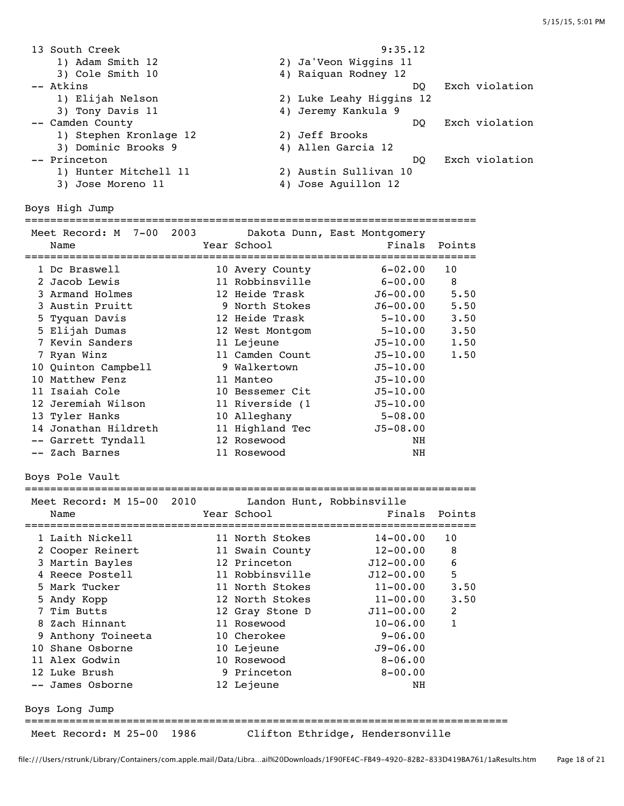13 South Creek 9:35.12 1) Adam Smith 12 2) Ja'Veon Wiggins 11 3) Cole Smith 10 4) Raiquan Rodney 12 -- Atkins DQ Exch violation 1) Elijah Nelson 2) Luke Leahy Higgins 12 3) Tony Davis 11 4) Jeremy Kankula 9 -- Camden County and County and County and County and County and County and County and County and County and County and County and County and County and County and County and County and County and County and County and Cou 1) Stephen Kronlage 12 2) Jeff Brooks 3) Dominic Brooks 9 4) Allen Garcia 12 -- Princeton DQ Exch violation 1) Hunter Mitchell 11 2) Austin Sullivan 10 3) Jose Moreno 11 (4) Jose Aguillon 12 Boys High Jump ======================================================================= Meet Record: M 7-00 2003 Dakota Dunn, East Montgomery Name Tear School Tear School Finals Points ======================================================================= 1 Dc Braswell 10 Avery County 6-02.00 10 2 Jacob Lewis 11 Robbinsville 6-00.00 8 3 Armand Holmes 12 Heide Trask J6-00.00 5.50 3 Austin Pruitt 9 North Stokes J6-00.00 5.50 5 Tyquan Davis 12 Heide Trask 5-10.00 3.50 5 Elijah Dumas 12 West Montgom 5-10.00 3.50 7 Kevin Sanders 11 Lejeune J5-10.00 1.50 7 Ryan Winz 11 Camden Count J5-10.00 1.50 10 Quinton Campbell 9 Walkertown J5-10.00 10 Matthew Fenz 11 Manteo J5-10.00 11 Isaiah Cole 10 Bessemer Cit J5-10.00 12 Jeremiah Wilson 11 Riverside (1 J5-10.00 13 Tyler Hanks 10 Alleghany 5-08.00 14 Jonathan Hildreth 11 Highland Tec J5-08.00 -- Garrett Tyndall 12 Rosewood NH -- Zach Barnes 11 Rosewood NH Boys Pole Vault ======================================================================= Meet Record: M 15-00 2010 Landon Hunt, Robbinsville Name Year School Finals Points ======================================================================= 1 Laith Nickell 11 North Stokes 14-00.00 10 2 Cooper Reinert 11 Swain County 12-00.00 8 3 Martin Bayles 12 Princeton J12-00.00 6 4 Reece Postell 11 Robbinsville J12-00.00 5 5 Mark Tucker 11 North Stokes 11-00.00 3.50 5 Andy Kopp 12 North Stokes 11-00.00 3.50 7 Tim Butts 12 Gray Stone D J11-00.00 2 8 Zach Hinnant 11 Rosewood 10-06.00 1 9 Anthony Toineeta 10 Cherokee 9-06.00 10 Shane Osborne 10 Lejeune J9-06.00 11 Alex Godwin 10 Rosewood 8-06.00 12 Luke Brush 9 Princeton 8-00.00 -- James Osborne 12 Lejeune NH Boys Long Jump ============================================================================ Meet Record: M 25-00 1986 Clifton Ethridge, Hendersonville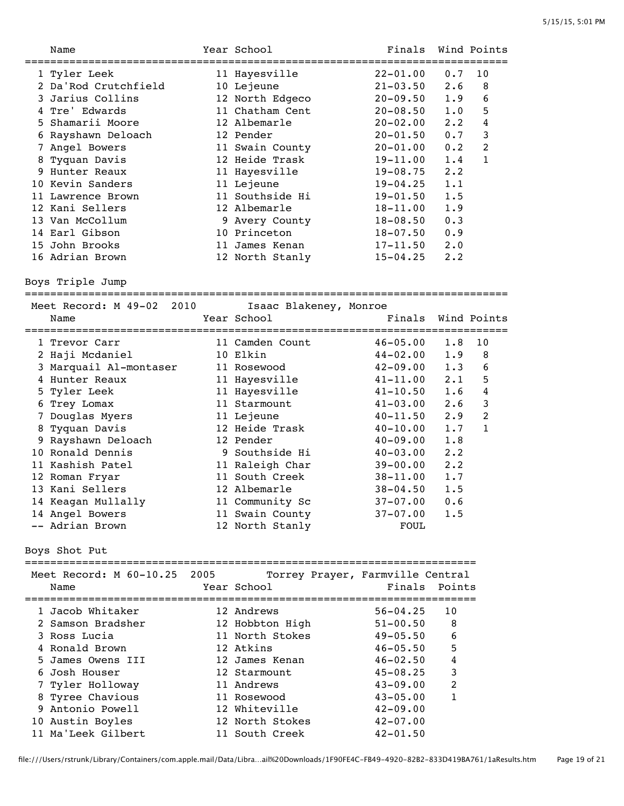|   | Name                      |      | Year School                      | Finals           |                | Wind Points    |
|---|---------------------------|------|----------------------------------|------------------|----------------|----------------|
|   | 1 Tyler Leek              |      | 11 Hayesville                    | $22 - 01.00$     | 0.7            | 10             |
|   | 2 Da'Rod Crutchfield      |      | 10 Lejeune                       | $21 - 03.50$     | 2.6            | 8              |
|   | 3 Jarius Collins          |      | 12 North Edgeco                  | $20 - 09.50$     | 1.9            | 6              |
|   | 4 Tre' Edwards            |      | 11 Chatham Cent                  | $20 - 08.50$     | 1.0            | 5              |
|   | 5 Shamarii Moore          |      | 12 Albemarle                     | $20 - 02.00$     | $2 \cdot 2$    | 4              |
|   | 6 Rayshawn Deloach        |      | 12 Pender                        | $20 - 01.50$     | 0.7            | $\mathbf{3}$   |
|   | 7 Angel Bowers            |      | 11 Swain County                  | $20 - 01.00$     | 0.2            | $\overline{2}$ |
| 8 | Tyquan Davis              |      | 12 Heide Trask                   | 19-11.00         | 1.4            | $\mathbf{1}$   |
|   | 9 Hunter Reaux            |      | 11 Hayesville                    | 19-08.75         | 2.2            |                |
|   | 10 Kevin Sanders          |      | 11 Lejeune                       | $19 - 04.25$     | 1.1            |                |
|   | 11 Lawrence Brown         |      | 11 Southside Hi                  | $19 - 01.50$     | 1.5            |                |
|   | 12 Kani Sellers           |      | 12 Albemarle                     | $18 - 11.00$ 1.9 |                |                |
|   | 13 Van McCollum           |      | 9 Avery County                   | $18 - 08.50$     | 0.3            |                |
|   | 14 Earl Gibson            |      | 10 Princeton                     | $18 - 07.50$     | 0.9            |                |
|   | 15 John Brooks            |      | 11 James Kenan                   | $17 - 11.50$     | 2.0            |                |
|   | 16 Adrian Brown           |      | 12 North Stanly                  | $15 - 04.25$     | 2.2            |                |
|   | Boys Triple Jump          |      |                                  |                  |                |                |
|   | Meet Record: M 49-02 2010 |      | Isaac Blakeney, Monroe           |                  |                |                |
|   | Name                      |      | Year School                      | Finals           |                | Wind Points    |
|   |                           |      |                                  |                  |                |                |
|   | 1 Trevor Carr             |      | 11 Camden Count                  | $46 - 05.00$     | 1.8            | 10             |
|   | 2 Haji Mcdaniel           |      | 10 Elkin                         | $44 - 02.00$     | 1.9            | 8              |
|   | 3 Marquail Al-montaser    |      | 11 Rosewood                      | $42 - 09.00$     | 1.3            | 6              |
|   | 4 Hunter Reaux            |      | 11 Hayesville                    | $41 - 11.00$     | $2 \cdot 1$    | 5              |
|   | 5 Tyler Leek              |      | 11 Hayesville                    | $41 - 10.50$     | 1.6            | $\overline{4}$ |
|   | 6 Trey Lomax              |      | 11 Starmount                     | 41-03.00         | $2 \cdot 6$    | 3              |
|   | 7 Douglas Myers           |      | 11 Lejeune                       | 40-11.50         | 2.9            | $\overline{2}$ |
| 8 | Tyquan Davis              |      | 12 Heide Trask                   | 40-10.00         | 1.7            | $\mathbf{1}$   |
|   | 9 Rayshawn Deloach        |      | 12 Pender                        | 40-09.00         | 1.8            |                |
|   | 10 Ronald Dennis          |      | 9 Southside Hi                   | $40 - 03.00$     | 2.2            |                |
|   | 11 Kashish Patel          |      | 11 Raleigh Char                  | 39-00.00         | 2.2            |                |
|   | 12 Roman Fryar            |      | 11 South Creek                   | $38 - 11.00$     | 1.7            |                |
|   | 13 Kani Sellers           |      | 12 Albemarle                     | $38 - 04.50$     | 1.5            |                |
|   | 14 Keagan Mullally        |      | 11 Community Sc                  | $37 - 07.00$     | 0.6            |                |
|   | 14 Angel Bowers           |      | 11 Swain County                  | $37 - 07.00$     | 1.5            |                |
|   | -- Adrian Brown           |      | 12 North Stanly                  | FOUL             |                |                |
|   | Boys Shot Put             |      |                                  |                  |                |                |
|   | Meet Record: M 60-10.25   | 2005 | Torrey Prayer, Farmville Central |                  |                |                |
|   | Name                      |      | Year School                      | Finals           | Points         |                |
|   | 1 Jacob Whitaker          |      | 12 Andrews                       | $56 - 04.25$     | 10             |                |
|   | 2 Samson Bradsher         |      | 12 Hobbton High                  | $51 - 00.50$     | 8              |                |
|   | 3 Ross Lucia              |      | 11 North Stokes                  | $49 - 05.50$     | 6              |                |
|   | 4 Ronald Brown            |      | 12 Atkins                        | $46 - 05.50$     | 5              |                |
|   | 5 James Owens III         |      | 12 James Kenan                   | $46 - 02.50$     | 4              |                |
|   | 6 Josh Houser             |      | 12 Starmount                     | $45 - 08.25$     | 3              |                |
|   | Tyler Holloway            |      | 11 Andrews                       | $43 - 09.00$     | $\overline{2}$ |                |
|   | 8 Tyree Chavious          |      | 11 Rosewood                      | $43 - 05.00$     | 1              |                |
|   | 9 Antonio Powell          |      | 12 Whiteville                    | $42 - 09.00$     |                |                |
|   | 10 Austin Boyles          |      | 12 North Stokes                  | $42 - 07.00$     |                |                |
|   | 11 Ma'Leek Gilbert        |      | 11 South Creek                   | $42 - 01.50$     |                |                |
|   |                           |      |                                  |                  |                |                |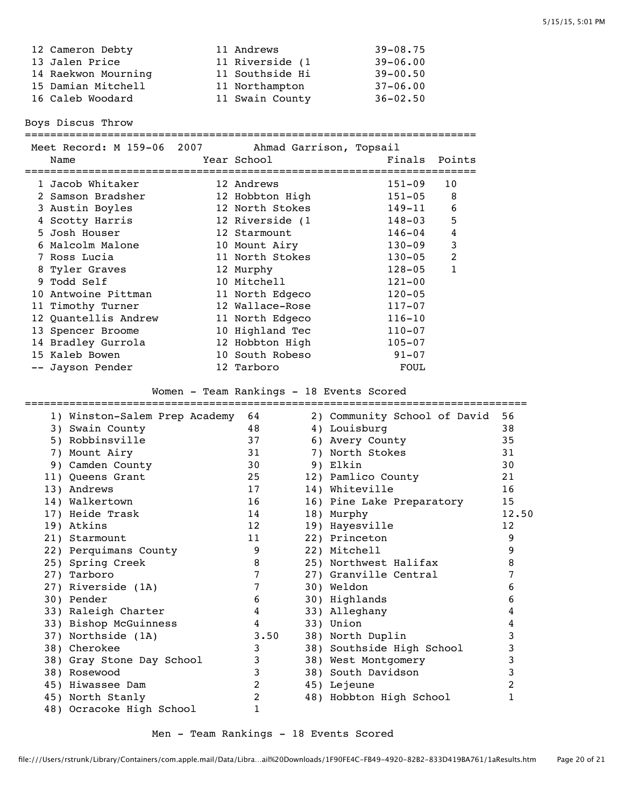| 12 Cameron Debty    | 11 Andrews      | $39 - 08.75$ |
|---------------------|-----------------|--------------|
| 13 Jalen Price      | 11 Riverside (1 | $39 - 06.00$ |
| 14 Raekwon Mourning | 11 Southside Hi | $39 - 00.50$ |
| 15 Damian Mitchell  | 11 Northampton  | $37 - 06.00$ |
| 16 Caleb Woodard    | 11 Swain County | $36 - 02.50$ |
|                     |                 |              |

Boys Discus Throw

| Name |                                                                                                                                                                                                                                                                                                                        |                                                                                                                                                                                                                                                                                                                                  |                                                                                                                                |
|------|------------------------------------------------------------------------------------------------------------------------------------------------------------------------------------------------------------------------------------------------------------------------------------------------------------------------|----------------------------------------------------------------------------------------------------------------------------------------------------------------------------------------------------------------------------------------------------------------------------------------------------------------------------------|--------------------------------------------------------------------------------------------------------------------------------|
|      |                                                                                                                                                                                                                                                                                                                        |                                                                                                                                                                                                                                                                                                                                  | 10                                                                                                                             |
|      |                                                                                                                                                                                                                                                                                                                        |                                                                                                                                                                                                                                                                                                                                  | 8                                                                                                                              |
|      |                                                                                                                                                                                                                                                                                                                        |                                                                                                                                                                                                                                                                                                                                  | 6                                                                                                                              |
|      |                                                                                                                                                                                                                                                                                                                        |                                                                                                                                                                                                                                                                                                                                  | 5                                                                                                                              |
|      |                                                                                                                                                                                                                                                                                                                        |                                                                                                                                                                                                                                                                                                                                  | 4                                                                                                                              |
|      |                                                                                                                                                                                                                                                                                                                        |                                                                                                                                                                                                                                                                                                                                  | 3                                                                                                                              |
|      |                                                                                                                                                                                                                                                                                                                        |                                                                                                                                                                                                                                                                                                                                  | $\overline{2}$                                                                                                                 |
|      |                                                                                                                                                                                                                                                                                                                        | $128 - 05$                                                                                                                                                                                                                                                                                                                       | 1                                                                                                                              |
|      |                                                                                                                                                                                                                                                                                                                        | $121 - 00$                                                                                                                                                                                                                                                                                                                       |                                                                                                                                |
|      |                                                                                                                                                                                                                                                                                                                        | $120 - 05$                                                                                                                                                                                                                                                                                                                       |                                                                                                                                |
|      |                                                                                                                                                                                                                                                                                                                        | $117 - 07$                                                                                                                                                                                                                                                                                                                       |                                                                                                                                |
|      |                                                                                                                                                                                                                                                                                                                        | $116 - 10$                                                                                                                                                                                                                                                                                                                       |                                                                                                                                |
|      |                                                                                                                                                                                                                                                                                                                        | $110 - 07$                                                                                                                                                                                                                                                                                                                       |                                                                                                                                |
|      |                                                                                                                                                                                                                                                                                                                        | $105 - 07$                                                                                                                                                                                                                                                                                                                       |                                                                                                                                |
|      |                                                                                                                                                                                                                                                                                                                        | $91 - 07$                                                                                                                                                                                                                                                                                                                        |                                                                                                                                |
|      |                                                                                                                                                                                                                                                                                                                        | FOUL                                                                                                                                                                                                                                                                                                                             |                                                                                                                                |
|      | 1 Jacob Whitaker<br>2 Samson Bradsher<br>3 Austin Boyles<br>4 Scotty Harris<br>5 Josh Houser<br>6 Malcolm Malone<br>7 Ross Lucia<br>8 Tyler Graves<br>9 Todd Self<br>10 Antwoine Pittman<br>11 Timothy Turner<br>12 Quantellis Andrew<br>13 Spencer Broome<br>14 Bradley Gurrola<br>15 Kaleb Bowen<br>-- Jayson Pender | Meet Record: M 159-06 2007<br>Year School<br>12 Andrews<br>12 Hobbton High<br>12 North Stokes<br>12 Riverside (1<br>12 Starmount<br>10 Mount Airy<br>11 North Stokes<br>12 Murphy<br>10 Mitchell<br>11 North Edgeco<br>12 Wallace-Rose<br>11 North Edgeco<br>10 Highland Tec<br>12 Hobbton High<br>10 South Robeso<br>12 Tarboro | Ahmad Garrison, Topsail<br>Finals Points<br>$151 - 09$<br>151-05<br>149-11<br>148-03<br>$146 - 04$<br>$130 - 09$<br>$130 - 05$ |

Women - Team Rankings - 18 Events Scored

| 1) Winston-Salem Prep Academy | 64   |    | 2) Community School of David | 56    |
|-------------------------------|------|----|------------------------------|-------|
| 3) Swain County               | 48   |    | 4) Louisburg                 | 38    |
| 5) Robbinsville               | 37   |    | 6) Avery County              | 35    |
| 7) Mount Airy                 | 31   | 7) | North Stokes                 | 31    |
| 9) Camden County              | 30   |    | 9) Elkin                     | 30    |
| 11) Queens Grant              | 25   |    | 12) Pamlico County           | 21    |
| 13) Andrews                   | 17   |    | 14) Whiteville               | 16    |
| 14) Walkertown                | 16   |    | 16) Pine Lake Preparatory    | 15    |
| 17) Heide Trask               | 14   |    | 18) Murphy                   | 12.50 |
| 19) Atkins                    | 12   |    | 19) Hayesville               | 12    |
| 21) Starmount                 | 11   |    | 22) Princeton                | 9     |
| 22) Perquimans County         | 9    |    | 22) Mitchell                 | 9     |
| 25) Spring Creek              | 8    |    | 25) Northwest Halifax        | 8     |
| 27) Tarboro                   | 7    |    | 27) Granville Central        | 7     |
| 27) Riverside (1A)            | 7    |    | 30) Weldon                   | 6     |
| 30) Pender                    | 6    |    | 30) Highlands                | 6     |
| 33) Raleigh Charter           | 4    |    | 33) Alleghany                |       |
| 33) Bishop McGuinness         | 4    |    | 33) Union                    | 4     |
| 37) Northside (1A)            | 3.50 |    | 38) North Duplin             | 3     |
| 38) Cherokee                  | 3    |    | 38) Southside High School    | 3     |
| 38) Gray Stone Day School     | 3    |    | 38) West Montgomery          | 3     |
| 38) Rosewood                  | 3    |    | 38) South Davidson           | 3     |
| 45) Hiwassee Dam              | 2    |    | 45) Lejeune                  | 2     |
| 45) North Stanly              | 2    |    | 48) Hobbton High School      | 1     |
| 48) Ocracoke High School      | 1    |    |                              |       |

## Men - Team Rankings - 18 Events Scored